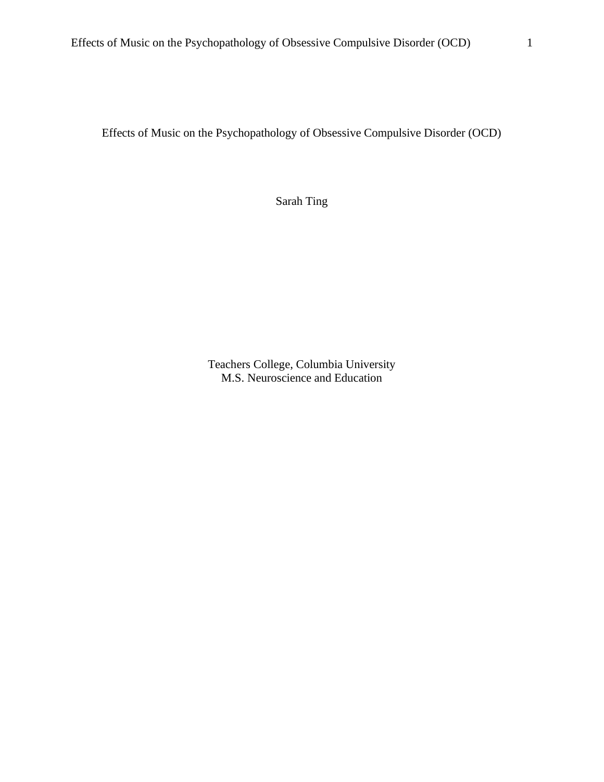Effects of Music on the Psychopathology of Obsessive Compulsive Disorder (OCD)

Sarah Ting

Teachers College, Columbia University M.S. Neuroscience and Education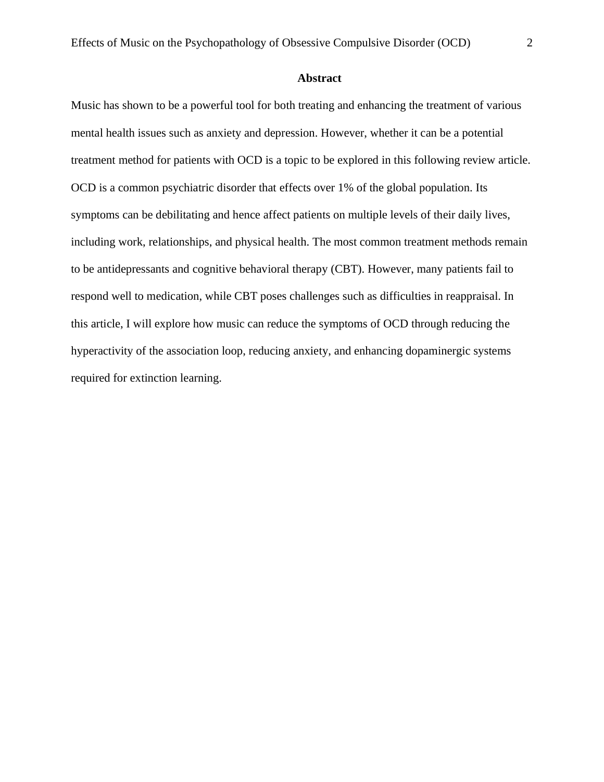### **Abstract**

Music has shown to be a powerful tool for both treating and enhancing the treatment of various mental health issues such as anxiety and depression. However, whether it can be a potential treatment method for patients with OCD is a topic to be explored in this following review article. OCD is a common psychiatric disorder that effects over 1% of the global population. Its symptoms can be debilitating and hence affect patients on multiple levels of their daily lives, including work, relationships, and physical health. The most common treatment methods remain to be antidepressants and cognitive behavioral therapy (CBT). However, many patients fail to respond well to medication, while CBT poses challenges such as difficulties in reappraisal. In this article, I will explore how music can reduce the symptoms of OCD through reducing the hyperactivity of the association loop, reducing anxiety, and enhancing dopaminergic systems required for extinction learning.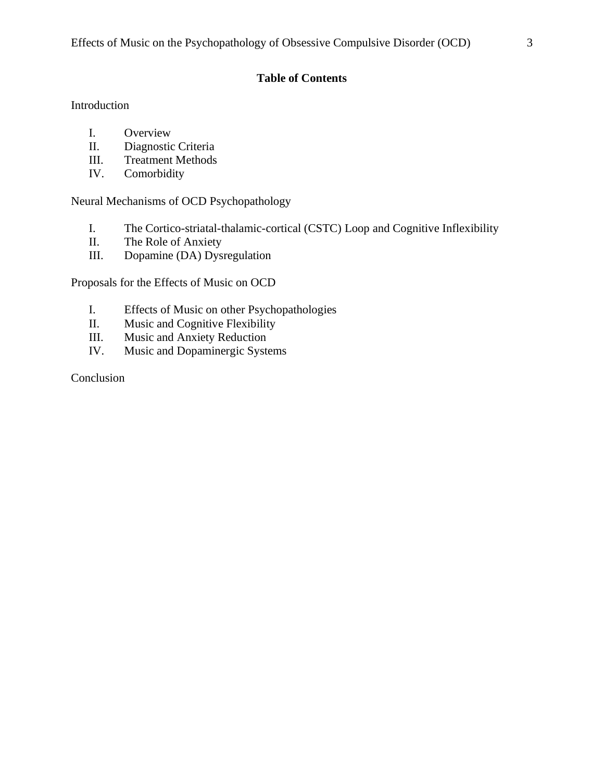# **Table of Contents**

## Introduction

- I. Overview
- II. Diagnostic Criteria
- III. Treatment Methods
- IV. Comorbidity

Neural Mechanisms of OCD Psychopathology

- I. The Cortico-striatal-thalamic-cortical (CSTC) Loop and Cognitive Inflexibility
- II. The Role of Anxiety
- III. Dopamine (DA) Dysregulation

Proposals for the Effects of Music on OCD

- I. Effects of Music on other Psychopathologies
- II. Music and Cognitive Flexibility
- III. Music and Anxiety Reduction
- IV. Music and Dopaminergic Systems

## Conclusion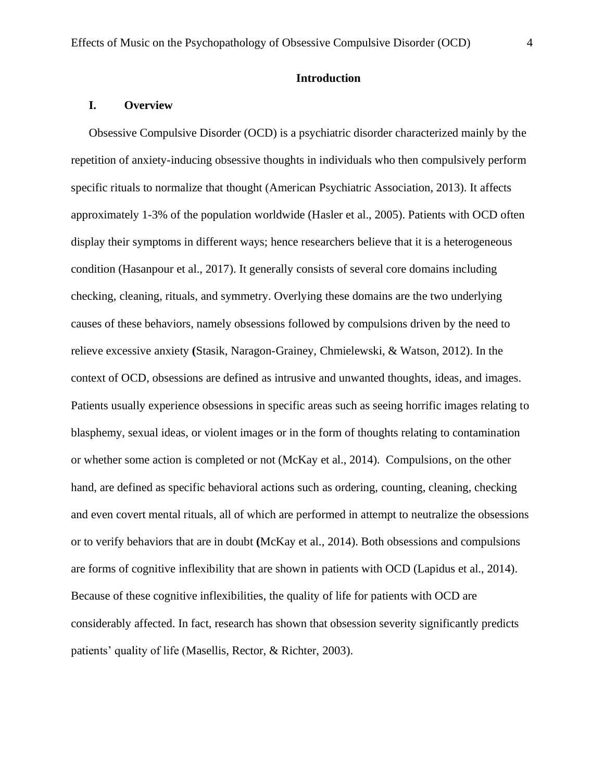### **Introduction**

### **I. Overview**

Obsessive Compulsive Disorder (OCD) is a psychiatric disorder characterized mainly by the repetition of anxiety-inducing obsessive thoughts in individuals who then compulsively perform specific rituals to normalize that thought (American Psychiatric Association, 2013). It affects approximately 1-3% of the population worldwide (Hasler et al., 2005). Patients with OCD often display their symptoms in different ways; hence researchers believe that it is a heterogeneous condition (Hasanpour et al., 2017). It generally consists of several core domains including checking, cleaning, rituals, and symmetry. Overlying these domains are the two underlying causes of these behaviors, namely obsessions followed by compulsions driven by the need to relieve excessive anxiety **(**Stasik, Naragon-Grainey, Chmielewski, & Watson, 2012). In the context of OCD, obsessions are defined as intrusive and unwanted thoughts, ideas, and images. Patients usually experience obsessions in specific areas such as seeing horrific images relating to blasphemy, sexual ideas, or violent images or in the form of thoughts relating to contamination or whether some action is completed or not (McKay et al., 2014). Compulsions, on the other hand, are defined as specific behavioral actions such as ordering, counting, cleaning, checking and even covert mental rituals, all of which are performed in attempt to neutralize the obsessions or to verify behaviors that are in doubt **(**McKay et al., 2014). Both obsessions and compulsions are forms of cognitive inflexibility that are shown in patients with OCD (Lapidus et al., 2014). Because of these cognitive inflexibilities, the quality of life for patients with OCD are considerably affected. In fact, research has shown that obsession severity significantly predicts patients' quality of life (Masellis, Rector, & Richter, 2003).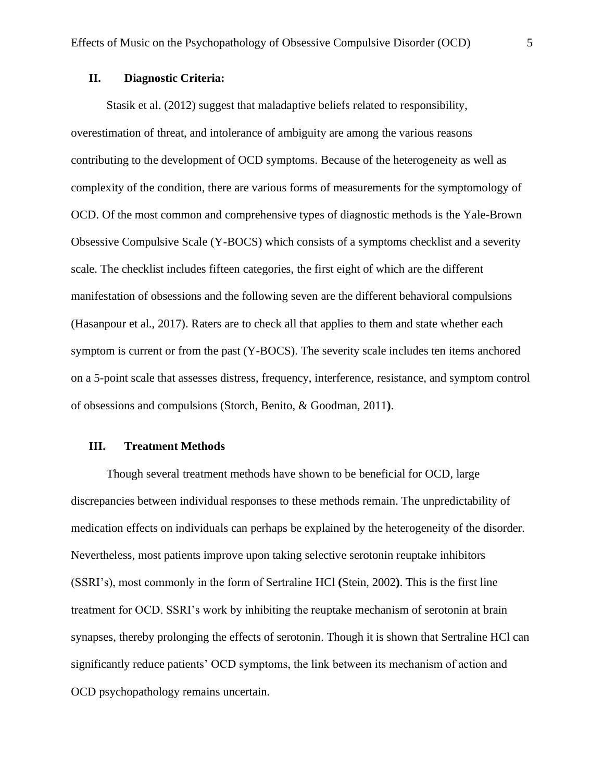## **II. Diagnostic Criteria:**

Stasik et al. (2012) suggest that maladaptive beliefs related to responsibility, overestimation of threat, and intolerance of ambiguity are among the various reasons contributing to the development of OCD symptoms. Because of the heterogeneity as well as complexity of the condition, there are various forms of measurements for the symptomology of OCD. Of the most common and comprehensive types of diagnostic methods is the Yale-Brown Obsessive Compulsive Scale (Y-BOCS) which consists of a symptoms checklist and a severity scale. The checklist includes fifteen categories, the first eight of which are the different manifestation of obsessions and the following seven are the different behavioral compulsions (Hasanpour et al., 2017). Raters are to check all that applies to them and state whether each symptom is current or from the past (Y-BOCS). The severity scale includes ten items anchored on a 5-point scale that assesses distress, frequency, interference, resistance, and symptom control of obsessions and compulsions (Storch, Benito, & Goodman, 2011**)**.

#### **III. Treatment Methods**

Though several treatment methods have shown to be beneficial for OCD, large discrepancies between individual responses to these methods remain. The unpredictability of medication effects on individuals can perhaps be explained by the heterogeneity of the disorder. Nevertheless, most patients improve upon taking selective serotonin reuptake inhibitors (SSRI's), most commonly in the form of Sertraline HCl **(**Stein, 2002**)**. This is the first line treatment for OCD. SSRI's work by inhibiting the reuptake mechanism of serotonin at brain synapses, thereby prolonging the effects of serotonin. Though it is shown that Sertraline HCl can significantly reduce patients' OCD symptoms, the link between its mechanism of action and OCD psychopathology remains uncertain.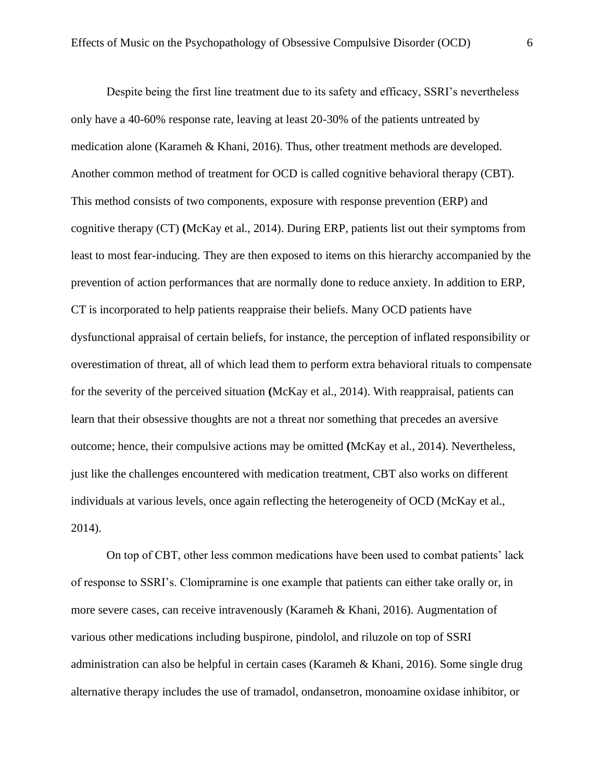Despite being the first line treatment due to its safety and efficacy, SSRI's nevertheless only have a 40-60% response rate, leaving at least 20-30% of the patients untreated by medication alone (Karameh & Khani, 2016). Thus, other treatment methods are developed. Another common method of treatment for OCD is called cognitive behavioral therapy (CBT). This method consists of two components, exposure with response prevention (ERP) and cognitive therapy (CT) **(**McKay et al., 2014). During ERP, patients list out their symptoms from least to most fear-inducing. They are then exposed to items on this hierarchy accompanied by the prevention of action performances that are normally done to reduce anxiety. In addition to ERP, CT is incorporated to help patients reappraise their beliefs. Many OCD patients have dysfunctional appraisal of certain beliefs, for instance, the perception of inflated responsibility or overestimation of threat, all of which lead them to perform extra behavioral rituals to compensate for the severity of the perceived situation **(**McKay et al., 2014). With reappraisal, patients can learn that their obsessive thoughts are not a threat nor something that precedes an aversive outcome; hence, their compulsive actions may be omitted **(**McKay et al., 2014). Nevertheless, just like the challenges encountered with medication treatment, CBT also works on different individuals at various levels, once again reflecting the heterogeneity of OCD (McKay et al., 2014).

On top of CBT, other less common medications have been used to combat patients' lack of response to SSRI's. Clomipramine is one example that patients can either take orally or, in more severe cases, can receive intravenously (Karameh & Khani, 2016). Augmentation of various other medications including buspirone, pindolol, and riluzole on top of SSRI administration can also be helpful in certain cases (Karameh & Khani, 2016). Some single drug alternative therapy includes the use of tramadol, ondansetron, monoamine oxidase inhibitor, or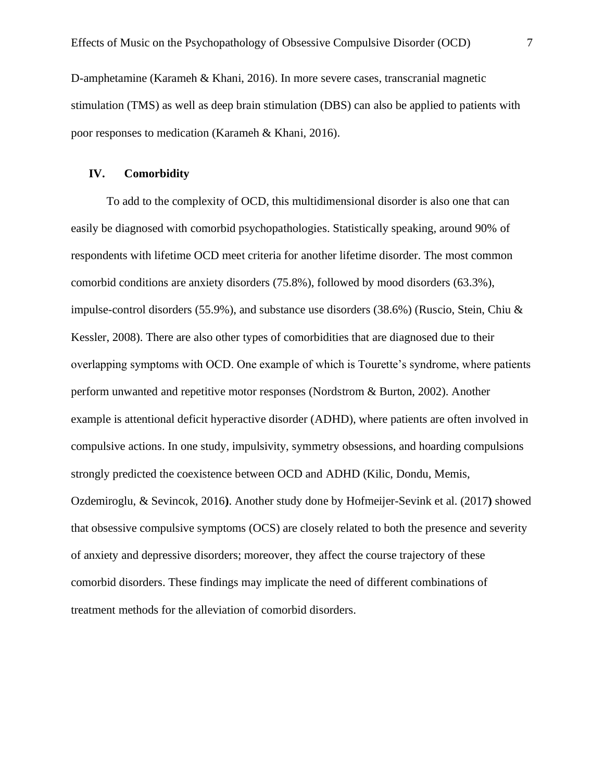D-amphetamine (Karameh & Khani, 2016). In more severe cases, transcranial magnetic stimulation (TMS) as well as deep brain stimulation (DBS) can also be applied to patients with poor responses to medication (Karameh & Khani, 2016).

### **IV. Comorbidity**

To add to the complexity of OCD, this multidimensional disorder is also one that can easily be diagnosed with comorbid psychopathologies. Statistically speaking, around 90% of respondents with lifetime OCD meet criteria for another lifetime disorder. The most common comorbid conditions are anxiety disorders (75.8%), followed by mood disorders (63.3%), impulse-control disorders (55.9%), and substance use disorders (38.6%) (Ruscio, Stein, Chiu & Kessler, 2008). There are also other types of comorbidities that are diagnosed due to their overlapping symptoms with OCD. One example of which is Tourette's syndrome, where patients perform unwanted and repetitive motor responses (Nordstrom & Burton, 2002). Another example is attentional deficit hyperactive disorder (ADHD), where patients are often involved in compulsive actions. In one study, impulsivity, symmetry obsessions, and hoarding compulsions strongly predicted the coexistence between OCD and ADHD (Kilic, Dondu, Memis, Ozdemiroglu, & Sevincok, 2016**)**. Another study done by Hofmeijer-Sevink et al. (2017**)** showed that obsessive compulsive symptoms (OCS) are closely related to both the presence and severity of anxiety and depressive disorders; moreover, they affect the course trajectory of these comorbid disorders. These findings may implicate the need of different combinations of treatment methods for the alleviation of comorbid disorders.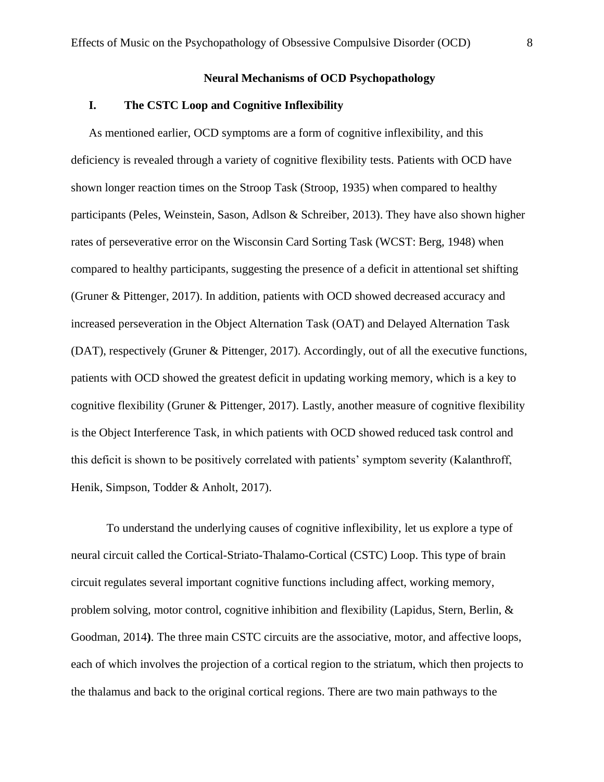#### **Neural Mechanisms of OCD Psychopathology**

### **I. The CSTC Loop and Cognitive Inflexibility**

As mentioned earlier, OCD symptoms are a form of cognitive inflexibility, and this deficiency is revealed through a variety of cognitive flexibility tests. Patients with OCD have shown longer reaction times on the Stroop Task (Stroop, 1935) when compared to healthy participants (Peles, Weinstein, Sason, Adlson & Schreiber, 2013). They have also shown higher rates of perseverative error on the Wisconsin Card Sorting Task (WCST: Berg, 1948) when compared to healthy participants, suggesting the presence of a deficit in attentional set shifting (Gruner & Pittenger, 2017). In addition, patients with OCD showed decreased accuracy and increased perseveration in the Object Alternation Task (OAT) and Delayed Alternation Task (DAT), respectively (Gruner & Pittenger, 2017). Accordingly, out of all the executive functions, patients with OCD showed the greatest deficit in updating working memory, which is a key to cognitive flexibility (Gruner & Pittenger, 2017). Lastly, another measure of cognitive flexibility is the Object Interference Task, in which patients with OCD showed reduced task control and this deficit is shown to be positively correlated with patients' symptom severity (Kalanthroff, Henik, Simpson, Todder & Anholt, 2017).

To understand the underlying causes of cognitive inflexibility, let us explore a type of neural circuit called the Cortical-Striato-Thalamo-Cortical (CSTC) Loop. This type of brain circuit regulates several important cognitive functions including affect, working memory, problem solving, motor control, cognitive inhibition and flexibility (Lapidus, Stern, Berlin, & Goodman, 2014**)**. The three main CSTC circuits are the associative, motor, and affective loops, each of which involves the projection of a cortical region to the striatum, which then projects to the thalamus and back to the original cortical regions. There are two main pathways to the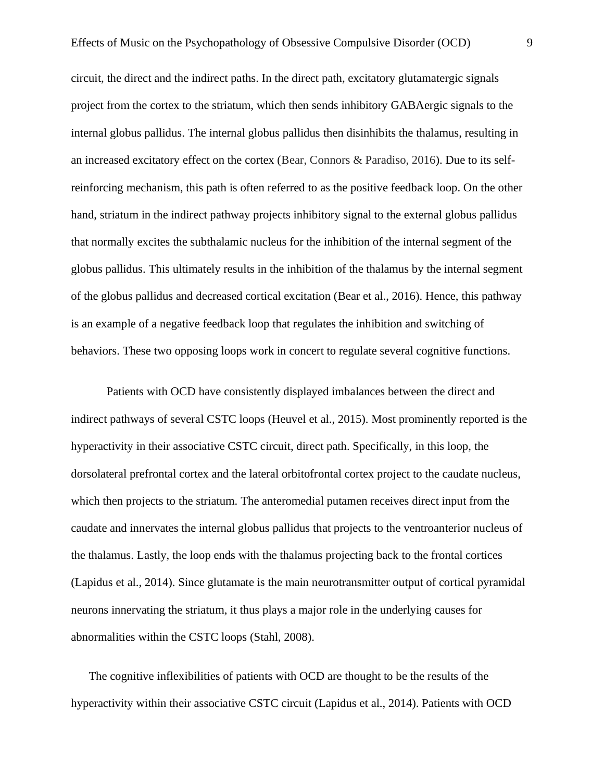circuit, the direct and the indirect paths. In the direct path, excitatory glutamatergic signals project from the cortex to the striatum, which then sends inhibitory GABAergic signals to the internal globus pallidus. The internal globus pallidus then disinhibits the thalamus, resulting in an increased excitatory effect on the cortex (Bear, Connors & Paradiso, 2016). Due to its selfreinforcing mechanism, this path is often referred to as the positive feedback loop. On the other hand, striatum in the indirect pathway projects inhibitory signal to the external globus pallidus that normally excites the subthalamic nucleus for the inhibition of the internal segment of the globus pallidus. This ultimately results in the inhibition of the thalamus by the internal segment of the globus pallidus and decreased cortical excitation (Bear et al., 2016). Hence, this pathway is an example of a negative feedback loop that regulates the inhibition and switching of behaviors. These two opposing loops work in concert to regulate several cognitive functions.

Patients with OCD have consistently displayed imbalances between the direct and indirect pathways of several CSTC loops (Heuvel et al., 2015). Most prominently reported is the hyperactivity in their associative CSTC circuit, direct path. Specifically, in this loop, the dorsolateral prefrontal cortex and the lateral orbitofrontal cortex project to the caudate nucleus, which then projects to the striatum. The anteromedial putamen receives direct input from the caudate and innervates the internal globus pallidus that projects to the ventroanterior nucleus of the thalamus. Lastly, the loop ends with the thalamus projecting back to the frontal cortices (Lapidus et al., 2014). Since glutamate is the main neurotransmitter output of cortical pyramidal neurons innervating the striatum, it thus plays a major role in the underlying causes for abnormalities within the CSTC loops (Stahl, 2008).

The cognitive inflexibilities of patients with OCD are thought to be the results of the hyperactivity within their associative CSTC circuit (Lapidus et al., 2014). Patients with OCD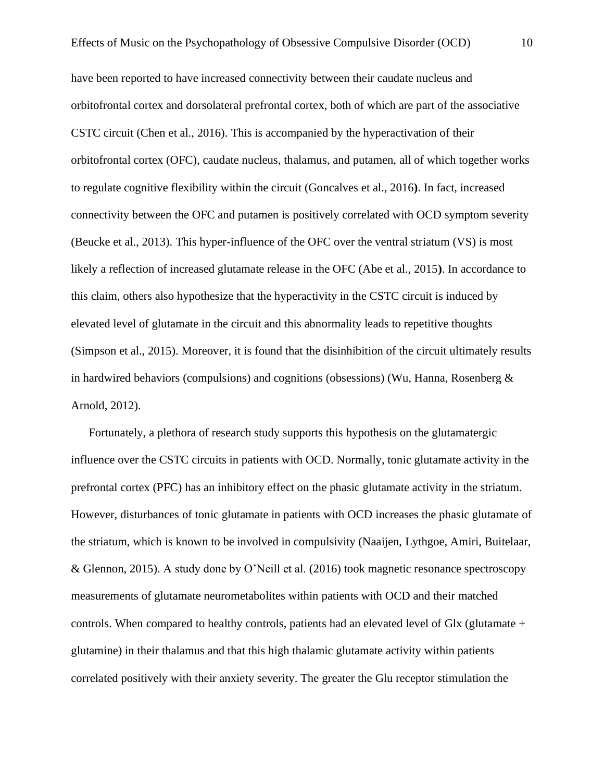have been reported to have increased connectivity between their caudate nucleus and orbitofrontal cortex and dorsolateral prefrontal cortex, both of which are part of the associative CSTC circuit (Chen et al., 2016). This is accompanied by the hyperactivation of their orbitofrontal cortex (OFC), caudate nucleus, thalamus, and putamen, all of which together works to regulate cognitive flexibility within the circuit (Goncalves et al., 2016**)**. In fact, increased connectivity between the OFC and putamen is positively correlated with OCD symptom severity (Beucke et al., 2013). This hyper-influence of the OFC over the ventral striatum (VS) is most likely a reflection of increased glutamate release in the OFC (Abe et al., 2015**)**. In accordance to this claim, others also hypothesize that the hyperactivity in the CSTC circuit is induced by elevated level of glutamate in the circuit and this abnormality leads to repetitive thoughts (Simpson et al., 2015). Moreover, it is found that the disinhibition of the circuit ultimately results in hardwired behaviors (compulsions) and cognitions (obsessions) (Wu, Hanna, Rosenberg  $\&$ Arnold, 2012).

Fortunately, a plethora of research study supports this hypothesis on the glutamatergic influence over the CSTC circuits in patients with OCD. Normally, tonic glutamate activity in the prefrontal cortex (PFC) has an inhibitory effect on the phasic glutamate activity in the striatum. However, disturbances of tonic glutamate in patients with OCD increases the phasic glutamate of the striatum, which is known to be involved in compulsivity (Naaijen, Lythgoe, Amiri, Buitelaar, & Glennon, 2015). A study done by O'Neill et al. (2016) took magnetic resonance spectroscopy measurements of glutamate neurometabolites within patients with OCD and their matched controls. When compared to healthy controls, patients had an elevated level of Glx (glutamate + glutamine) in their thalamus and that this high thalamic glutamate activity within patients correlated positively with their anxiety severity. The greater the Glu receptor stimulation the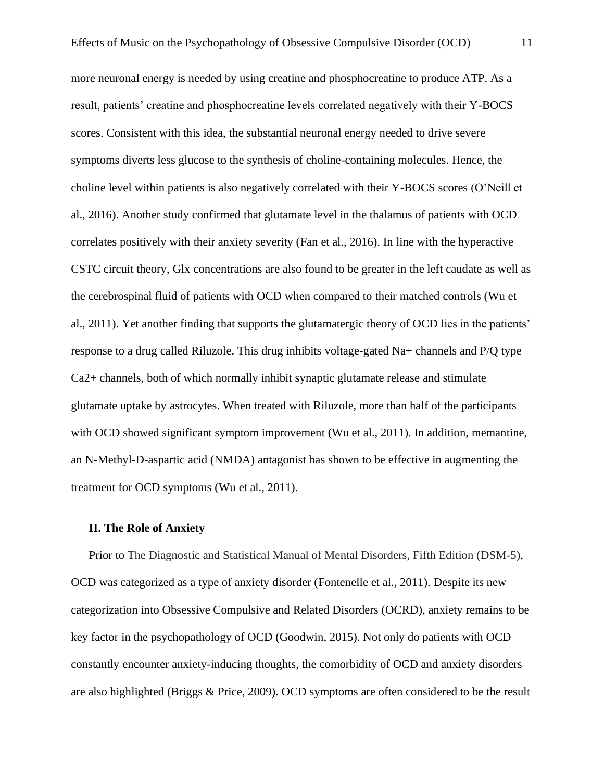more neuronal energy is needed by using creatine and phosphocreatine to produce ATP. As a result, patients' creatine and phosphocreatine levels correlated negatively with their Y-BOCS scores. Consistent with this idea, the substantial neuronal energy needed to drive severe symptoms diverts less glucose to the synthesis of choline-containing molecules. Hence, the choline level within patients is also negatively correlated with their Y-BOCS scores (O'Neill et al., 2016). Another study confirmed that glutamate level in the thalamus of patients with OCD correlates positively with their anxiety severity (Fan et al., 2016). In line with the hyperactive CSTC circuit theory, Glx concentrations are also found to be greater in the left caudate as well as the cerebrospinal fluid of patients with OCD when compared to their matched controls (Wu et al., 2011). Yet another finding that supports the glutamatergic theory of OCD lies in the patients' response to a drug called Riluzole. This drug inhibits voltage-gated Na+ channels and P/Q type Ca2+ channels, both of which normally inhibit synaptic glutamate release and stimulate glutamate uptake by astrocytes. When treated with Riluzole, more than half of the participants with OCD showed significant symptom improvement (Wu et al., 2011). In addition, memantine, an N-Methyl-D-aspartic acid (NMDA) antagonist has shown to be effective in augmenting the treatment for OCD symptoms (Wu et al., 2011).

### **II. The Role of Anxiety**

Prior to The Diagnostic and Statistical Manual of Mental Disorders, Fifth Edition (DSM-5), OCD was categorized as a type of anxiety disorder (Fontenelle et al., 2011). Despite its new categorization into Obsessive Compulsive and Related Disorders (OCRD), anxiety remains to be key factor in the psychopathology of OCD (Goodwin, 2015). Not only do patients with OCD constantly encounter anxiety-inducing thoughts, the comorbidity of OCD and anxiety disorders are also highlighted (Briggs & Price, 2009). OCD symptoms are often considered to be the result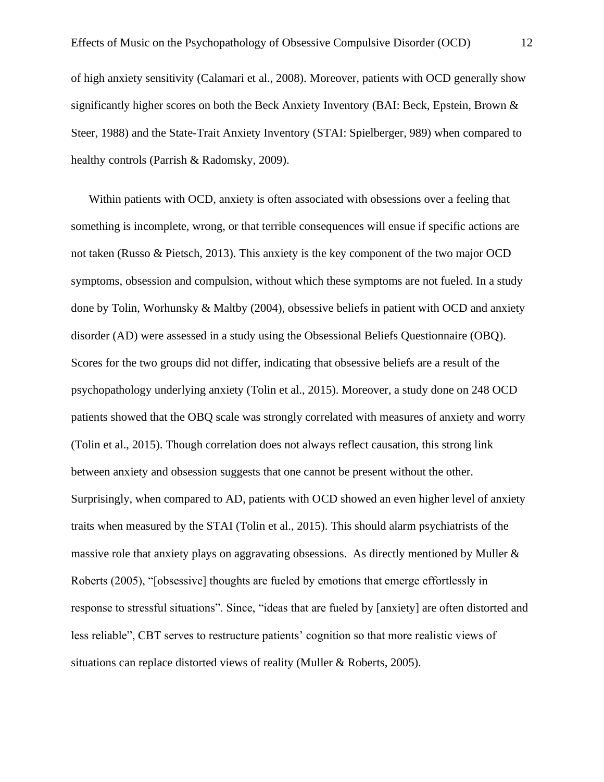of high anxiety sensitivity (Calamari et al., 2008). Moreover, patients with OCD generally show significantly higher scores on both the Beck Anxiety Inventory (BAI: Beck, Epstein, Brown & Steer, 1988) and the State-Trait Anxiety Inventory (STAI: Spielberger, 989) when compared to healthy controls (Parrish & Radomsky, 2009).

Within patients with OCD, anxiety is often associated with obsessions over a feeling that something is incomplete, wrong, or that terrible consequences will ensue if specific actions are not taken (Russo & Pietsch, 2013). This anxiety is the key component of the two major OCD symptoms, obsession and compulsion, without which these symptoms are not fueled. In a study done by Tolin, Worhunsky & Maltby (2004), obsessive beliefs in patient with OCD and anxiety disorder (AD) were assessed in a study using the Obsessional Beliefs Questionnaire (OBQ). Scores for the two groups did not differ, indicating that obsessive beliefs are a result of the psychopathology underlying anxiety (Tolin et al., 2015). Moreover, a study done on 248 OCD patients showed that the OBQ scale was strongly correlated with measures of anxiety and worry (Tolin et al., 2015). Though correlation does not always reflect causation, this strong link between anxiety and obsession suggests that one cannot be present without the other. Surprisingly, when compared to AD, patients with OCD showed an even higher level of anxiety traits when measured by the STAI (Tolin et al., 2015). This should alarm psychiatrists of the massive role that anxiety plays on aggravating obsessions. As directly mentioned by Muller & Roberts (2005), "[obsessive] thoughts are fueled by emotions that emerge effortlessly in response to stressful situations". Since, "ideas that are fueled by [anxiety] are often distorted and less reliable", CBT serves to restructure patients' cognition so that more realistic views of situations can replace distorted views of reality (Muller & Roberts, 2005).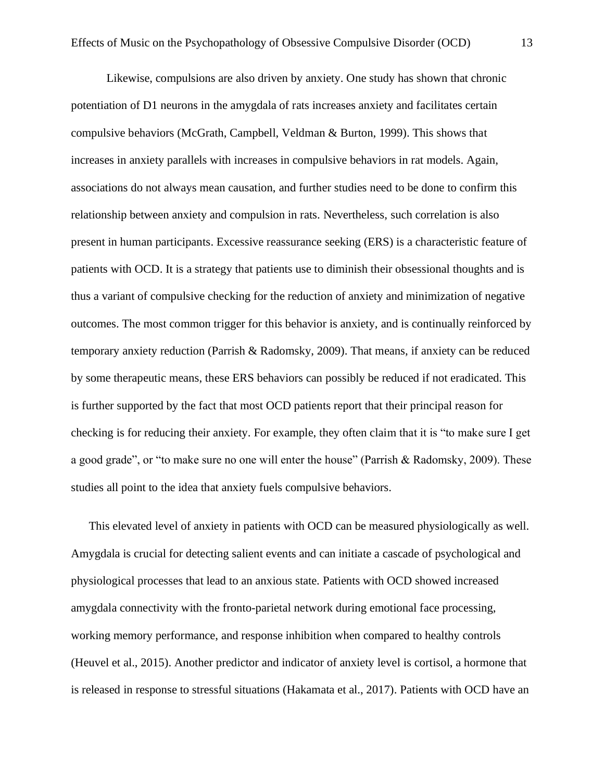Likewise, compulsions are also driven by anxiety. One study has shown that chronic potentiation of D1 neurons in the amygdala of rats increases anxiety and facilitates certain compulsive behaviors (McGrath, Campbell, Veldman & Burton, 1999). This shows that increases in anxiety parallels with increases in compulsive behaviors in rat models. Again, associations do not always mean causation, and further studies need to be done to confirm this relationship between anxiety and compulsion in rats. Nevertheless, such correlation is also present in human participants. Excessive reassurance seeking (ERS) is a characteristic feature of patients with OCD. It is a strategy that patients use to diminish their obsessional thoughts and is thus a variant of compulsive checking for the reduction of anxiety and minimization of negative outcomes. The most common trigger for this behavior is anxiety, and is continually reinforced by temporary anxiety reduction (Parrish & Radomsky, 2009). That means, if anxiety can be reduced by some therapeutic means, these ERS behaviors can possibly be reduced if not eradicated. This is further supported by the fact that most OCD patients report that their principal reason for checking is for reducing their anxiety. For example, they often claim that it is "to make sure I get a good grade", or "to make sure no one will enter the house" (Parrish & Radomsky, 2009). These studies all point to the idea that anxiety fuels compulsive behaviors.

This elevated level of anxiety in patients with OCD can be measured physiologically as well. Amygdala is crucial for detecting salient events and can initiate a cascade of psychological and physiological processes that lead to an anxious state. Patients with OCD showed increased amygdala connectivity with the fronto-parietal network during emotional face processing, working memory performance, and response inhibition when compared to healthy controls (Heuvel et al., 2015). Another predictor and indicator of anxiety level is cortisol, a hormone that is released in response to stressful situations (Hakamata et al., 2017). Patients with OCD have an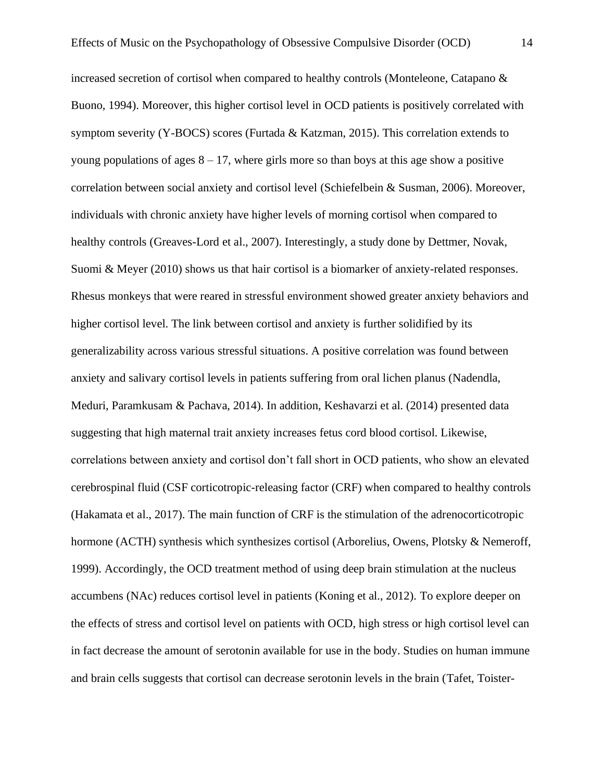increased secretion of cortisol when compared to healthy controls (Monteleone, Catapano & Buono, 1994). Moreover, this higher cortisol level in OCD patients is positively correlated with symptom severity (Y-BOCS) scores (Furtada & Katzman, 2015). This correlation extends to young populations of ages  $8 - 17$ , where girls more so than boys at this age show a positive correlation between social anxiety and cortisol level (Schiefelbein & Susman, 2006). Moreover, individuals with chronic anxiety have higher levels of morning cortisol when compared to healthy controls (Greaves-Lord et al., 2007). Interestingly, a study done by Dettmer, Novak, Suomi & Meyer (2010) shows us that hair cortisol is a biomarker of anxiety-related responses. Rhesus monkeys that were reared in stressful environment showed greater anxiety behaviors and higher cortisol level. The link between cortisol and anxiety is further solidified by its generalizability across various stressful situations. A positive correlation was found between anxiety and salivary cortisol levels in patients suffering from oral lichen planus (Nadendla, Meduri, Paramkusam & Pachava, 2014). In addition, Keshavarzi et al. (2014) presented data suggesting that high maternal trait anxiety increases fetus cord blood cortisol. Likewise, correlations between anxiety and cortisol don't fall short in OCD patients, who show an elevated cerebrospinal fluid (CSF corticotropic-releasing factor (CRF) when compared to healthy controls (Hakamata et al., 2017). The main function of CRF is the stimulation of the adrenocorticotropic hormone (ACTH) synthesis which synthesizes cortisol (Arborelius, Owens, Plotsky & Nemeroff, 1999). Accordingly, the OCD treatment method of using deep brain stimulation at the nucleus accumbens (NAc) reduces cortisol level in patients (Koning et al., 2012). To explore deeper on the effects of stress and cortisol level on patients with OCD, high stress or high cortisol level can in fact decrease the amount of serotonin available for use in the body. Studies on human immune and brain cells suggests that cortisol can decrease serotonin levels in the brain (Tafet, Toister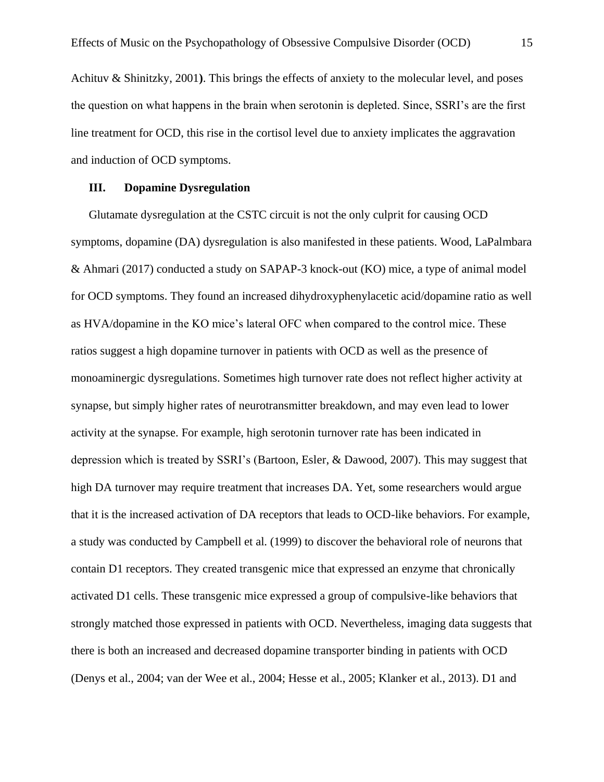Achituv & Shinitzky, 2001**)**. This brings the effects of anxiety to the molecular level, and poses the question on what happens in the brain when serotonin is depleted. Since, SSRI's are the first line treatment for OCD, this rise in the cortisol level due to anxiety implicates the aggravation and induction of OCD symptoms.

#### **III. Dopamine Dysregulation**

Glutamate dysregulation at the CSTC circuit is not the only culprit for causing OCD symptoms, dopamine (DA) dysregulation is also manifested in these patients. Wood, LaPalmbara & Ahmari (2017) conducted a study on SAPAP-3 knock-out (KO) mice, a type of animal model for OCD symptoms. They found an increased dihydroxyphenylacetic acid/dopamine ratio as well as HVA/dopamine in the KO mice's lateral OFC when compared to the control mice. These ratios suggest a high dopamine turnover in patients with OCD as well as the presence of monoaminergic dysregulations. Sometimes high turnover rate does not reflect higher activity at synapse, but simply higher rates of neurotransmitter breakdown, and may even lead to lower activity at the synapse. For example, high serotonin turnover rate has been indicated in depression which is treated by SSRI's (Bartoon, Esler, & Dawood, 2007). This may suggest that high DA turnover may require treatment that increases DA. Yet, some researchers would argue that it is the increased activation of DA receptors that leads to OCD-like behaviors. For example, a study was conducted by Campbell et al. (1999) to discover the behavioral role of neurons that contain D1 receptors. They created transgenic mice that expressed an enzyme that chronically activated D1 cells. These transgenic mice expressed a group of compulsive-like behaviors that strongly matched those expressed in patients with OCD. Nevertheless, imaging data suggests that there is both an increased and decreased dopamine transporter binding in patients with OCD (Denys et al., 2004; van der Wee et al., 2004; Hesse et al., 2005; Klanker et al., 2013). D1 and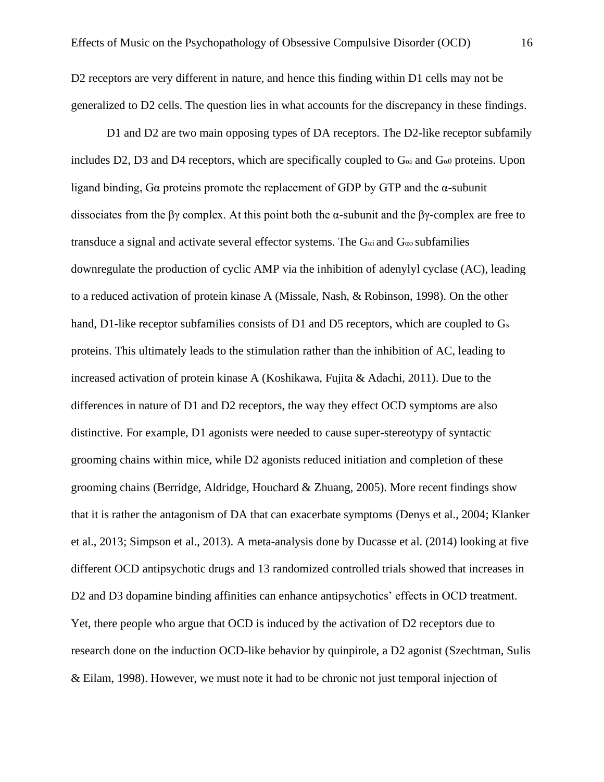D2 receptors are very different in nature, and hence this finding within D1 cells may not be generalized to D2 cells. The question lies in what accounts for the discrepancy in these findings.

D1 and D2 are two main opposing types of DA receptors. The D2-like receptor subfamily includes D2, D3 and D4 receptors, which are specifically coupled to  $G_{\alpha i}$  and  $G_{\alpha 0}$  proteins. Upon ligand binding, Gα proteins promote the replacement of GDP by GTP and the α-subunit dissociates from the βγ complex. At this point both the  $\alpha$ -subunit and the βγ-complex are free to transduce a signal and activate several effector systems. The  $G_{\alpha i}$  and  $G_{\alpha o}$  subfamilies downregulate the production of cyclic AMP via the inhibition of adenylyl cyclase (AC), leading to a reduced activation of protein kinase A (Missale, Nash, & Robinson, 1998). On the other hand, D1-like receptor subfamilies consists of D1 and D5 receptors, which are coupled to G<sub>s</sub> proteins. This ultimately leads to the stimulation rather than the inhibition of AC, leading to increased activation of protein kinase A (Koshikawa, Fujita & Adachi, 2011). Due to the differences in nature of D1 and D2 receptors, the way they effect OCD symptoms are also distinctive. For example, D1 agonists were needed to cause super-stereotypy of syntactic grooming chains within mice, while D2 agonists reduced initiation and completion of these grooming chains (Berridge, Aldridge, Houchard & Zhuang, 2005). More recent findings show that it is rather the antagonism of DA that can exacerbate symptoms (Denys et al., 2004; Klanker et al., 2013; Simpson et al., 2013). A meta-analysis done by Ducasse et al. (2014) looking at five different OCD antipsychotic drugs and 13 randomized controlled trials showed that increases in D<sub>2</sub> and D<sub>3</sub> dopamine binding affinities can enhance antipsychotics' effects in OCD treatment. Yet, there people who argue that OCD is induced by the activation of D2 receptors due to research done on the induction OCD-like behavior by quinpirole, a D2 agonist (Szechtman, Sulis & Eilam, 1998). However, we must note it had to be chronic not just temporal injection of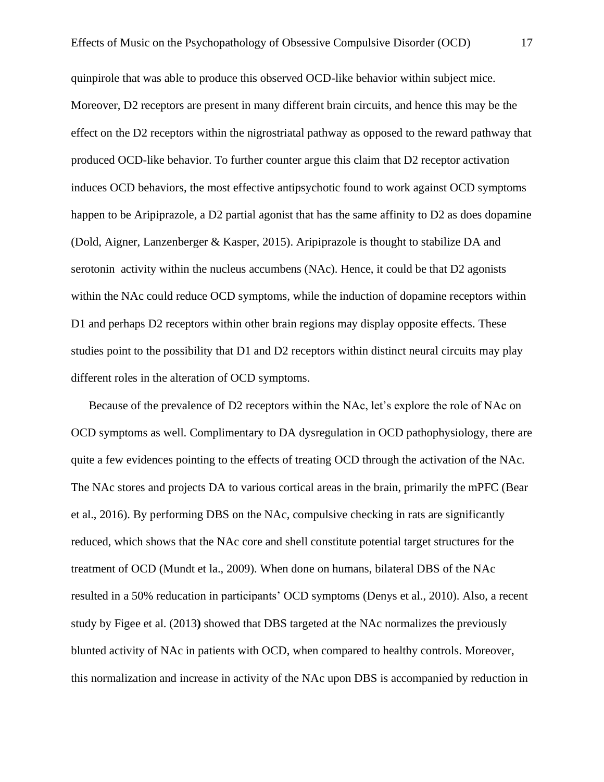quinpirole that was able to produce this observed OCD-like behavior within subject mice. Moreover, D2 receptors are present in many different brain circuits, and hence this may be the effect on the D2 receptors within the nigrostriatal pathway as opposed to the reward pathway that produced OCD-like behavior. To further counter argue this claim that D2 receptor activation induces OCD behaviors, the most effective antipsychotic found to work against OCD symptoms happen to be Aripiprazole, a D2 partial agonist that has the same affinity to D2 as does dopamine (Dold, Aigner, Lanzenberger & Kasper, 2015). Aripiprazole is thought to stabilize DA and serotonin activity within the nucleus accumbens (NAc). Hence, it could be that D2 agonists within the NAc could reduce OCD symptoms, while the induction of dopamine receptors within D1 and perhaps D2 receptors within other brain regions may display opposite effects. These studies point to the possibility that D1 and D2 receptors within distinct neural circuits may play different roles in the alteration of OCD symptoms.

Because of the prevalence of D2 receptors within the NAc, let's explore the role of NAc on OCD symptoms as well. Complimentary to DA dysregulation in OCD pathophysiology, there are quite a few evidences pointing to the effects of treating OCD through the activation of the NAc. The NAc stores and projects DA to various cortical areas in the brain, primarily the mPFC (Bear et al., 2016). By performing DBS on the NAc, compulsive checking in rats are significantly reduced, which shows that the NAc core and shell constitute potential target structures for the treatment of OCD (Mundt et la., 2009). When done on humans, bilateral DBS of the NAc resulted in a 50% reducation in participants' OCD symptoms (Denys et al., 2010). Also, a recent study by Figee et al. (2013**)** showed that DBS targeted at the NAc normalizes the previously blunted activity of NAc in patients with OCD, when compared to healthy controls. Moreover, this normalization and increase in activity of the NAc upon DBS is accompanied by reduction in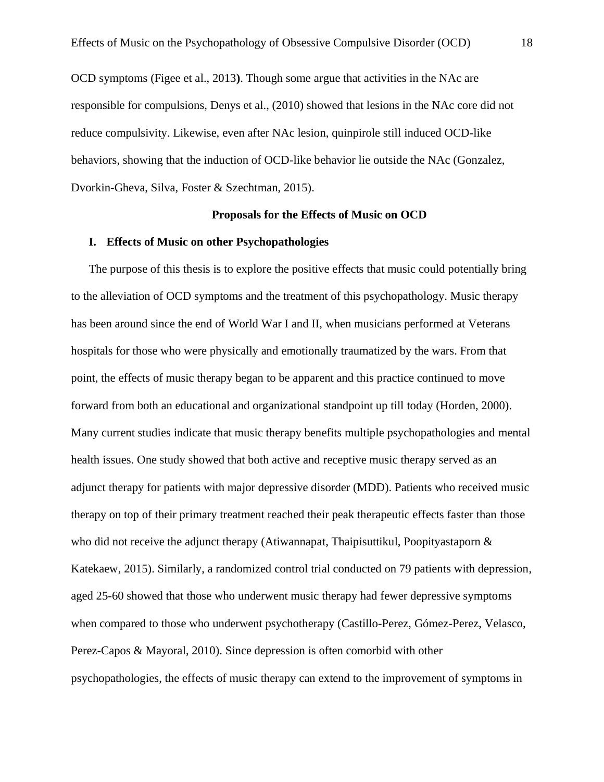OCD symptoms (Figee et al., 2013**)**. Though some argue that activities in the NAc are responsible for compulsions, Denys et al., (2010) showed that lesions in the NAc core did not reduce compulsivity. Likewise, even after NAc lesion, quinpirole still induced OCD-like behaviors, showing that the induction of OCD-like behavior lie outside the NAc (Gonzalez, Dvorkin-Gheva, Silva, Foster & Szechtman, 2015).

#### **Proposals for the Effects of Music on OCD**

### **I. Effects of Music on other Psychopathologies**

The purpose of this thesis is to explore the positive effects that music could potentially bring to the alleviation of OCD symptoms and the treatment of this psychopathology. Music therapy has been around since the end of World War I and II, when musicians performed at Veterans hospitals for those who were physically and emotionally traumatized by the wars. From that point, the effects of music therapy began to be apparent and this practice continued to move forward from both an educational and organizational standpoint up till today (Horden, 2000). Many current studies indicate that music therapy benefits multiple psychopathologies and mental health issues. One study showed that both active and receptive music therapy served as an adjunct therapy for patients with major depressive disorder (MDD). Patients who received music therapy on top of their primary treatment reached their peak therapeutic effects faster than those who did not receive the adjunct therapy (Atiwannapat, Thaipisuttikul, Poopityastaporn  $\&$ Katekaew, 2015). Similarly, a randomized control trial conducted on 79 patients with depression, aged 25-60 showed that those who underwent music therapy had fewer depressive symptoms when compared to those who underwent psychotherapy (Castillo-Perez, Gómez-Perez, Velasco, Perez-Capos & Mayoral, 2010). Since depression is often comorbid with other psychopathologies, the effects of music therapy can extend to the improvement of symptoms in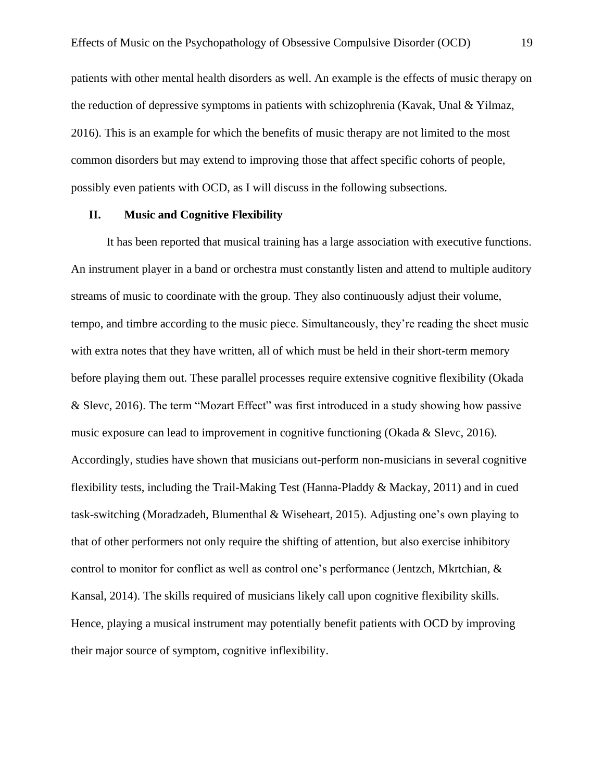patients with other mental health disorders as well. An example is the effects of music therapy on the reduction of depressive symptoms in patients with schizophrenia (Kavak, Unal & Yilmaz, 2016). This is an example for which the benefits of music therapy are not limited to the most common disorders but may extend to improving those that affect specific cohorts of people, possibly even patients with OCD, as I will discuss in the following subsections.

#### **II. Music and Cognitive Flexibility**

It has been reported that musical training has a large association with executive functions. An instrument player in a band or orchestra must constantly listen and attend to multiple auditory streams of music to coordinate with the group. They also continuously adjust their volume, tempo, and timbre according to the music piece. Simultaneously, they're reading the sheet music with extra notes that they have written, all of which must be held in their short-term memory before playing them out. These parallel processes require extensive cognitive flexibility (Okada & Slevc, 2016). The term "Mozart Effect" was first introduced in a study showing how passive music exposure can lead to improvement in cognitive functioning (Okada & Slevc, 2016). Accordingly, studies have shown that musicians out-perform non-musicians in several cognitive flexibility tests, including the Trail-Making Test (Hanna-Pladdy & Mackay, 2011) and in cued task-switching (Moradzadeh, Blumenthal & Wiseheart, 2015). Adjusting one's own playing to that of other performers not only require the shifting of attention, but also exercise inhibitory control to monitor for conflict as well as control one's performance (Jentzch, Mkrtchian, & Kansal, 2014). The skills required of musicians likely call upon cognitive flexibility skills. Hence, playing a musical instrument may potentially benefit patients with OCD by improving their major source of symptom, cognitive inflexibility.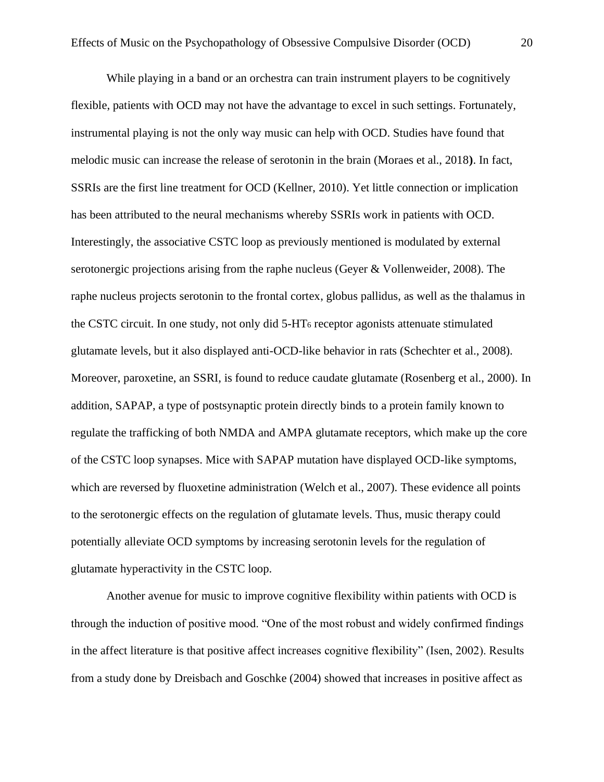While playing in a band or an orchestra can train instrument players to be cognitively flexible, patients with OCD may not have the advantage to excel in such settings. Fortunately, instrumental playing is not the only way music can help with OCD. Studies have found that melodic music can increase the release of serotonin in the brain (Moraes et al., 2018**)**. In fact, SSRIs are the first line treatment for OCD (Kellner, 2010). Yet little connection or implication has been attributed to the neural mechanisms whereby SSRIs work in patients with OCD. Interestingly, the associative CSTC loop as previously mentioned is modulated by external serotonergic projections arising from the raphe nucleus (Geyer & Vollenweider, 2008). The raphe nucleus projects serotonin to the frontal cortex, globus pallidus, as well as the thalamus in the CSTC circuit. In one study, not only did 5-HT<sup>6</sup> receptor agonists attenuate stimulated glutamate levels, but it also displayed anti-OCD-like behavior in rats (Schechter et al., 2008). Moreover, paroxetine, an SSRI, is found to reduce caudate glutamate (Rosenberg et al., 2000). In addition, SAPAP, a type of postsynaptic protein directly binds to a protein family known to regulate the trafficking of both NMDA and AMPA glutamate receptors, which make up the core of the CSTC loop synapses. Mice with SAPAP mutation have displayed OCD-like symptoms, which are reversed by fluoxetine administration (Welch et al., 2007). These evidence all points to the serotonergic effects on the regulation of glutamate levels. Thus, music therapy could potentially alleviate OCD symptoms by increasing serotonin levels for the regulation of glutamate hyperactivity in the CSTC loop.

Another avenue for music to improve cognitive flexibility within patients with OCD is through the induction of positive mood. "One of the most robust and widely confirmed findings in the affect literature is that positive affect increases cognitive flexibility" (Isen, 2002). Results from a study done by Dreisbach and Goschke (2004) showed that increases in positive affect as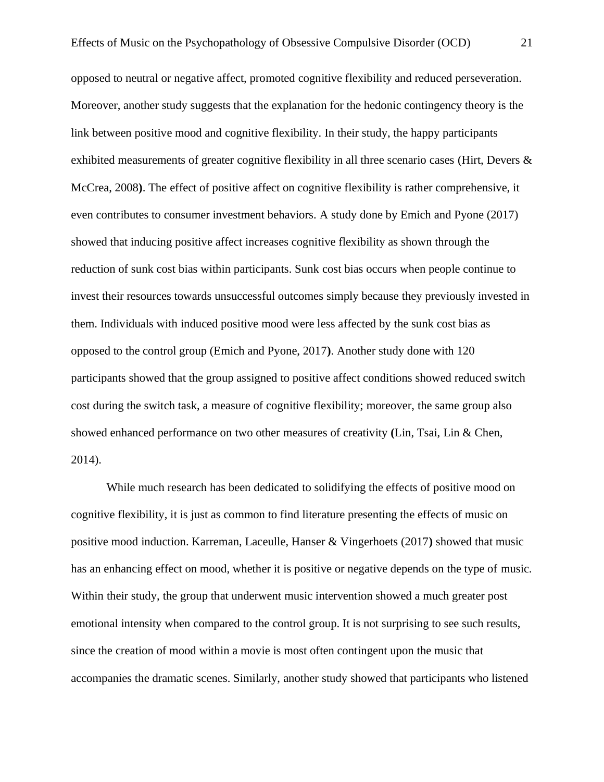opposed to neutral or negative affect, promoted cognitive flexibility and reduced perseveration. Moreover, another study suggests that the explanation for the hedonic contingency theory is the link between positive mood and cognitive flexibility. In their study, the happy participants exhibited measurements of greater cognitive flexibility in all three scenario cases (Hirt, Devers & McCrea, 2008**)**. The effect of positive affect on cognitive flexibility is rather comprehensive, it even contributes to consumer investment behaviors. A study done by Emich and Pyone (2017) showed that inducing positive affect increases cognitive flexibility as shown through the reduction of sunk cost bias within participants. Sunk cost bias occurs when people continue to invest their resources towards unsuccessful outcomes simply because they previously invested in them. Individuals with induced positive mood were less affected by the sunk cost bias as opposed to the control group (Emich and Pyone, 2017**)**. Another study done with 120 participants showed that the group assigned to positive affect conditions showed reduced switch cost during the switch task, a measure of cognitive flexibility; moreover, the same group also showed enhanced performance on two other measures of creativity **(**Lin, Tsai, Lin & Chen, 2014).

While much research has been dedicated to solidifying the effects of positive mood on cognitive flexibility, it is just as common to find literature presenting the effects of music on positive mood induction. Karreman, Laceulle, Hanser & Vingerhoets (2017**)** showed that music has an enhancing effect on mood, whether it is positive or negative depends on the type of music. Within their study, the group that underwent music intervention showed a much greater post emotional intensity when compared to the control group. It is not surprising to see such results, since the creation of mood within a movie is most often contingent upon the music that accompanies the dramatic scenes. Similarly, another study showed that participants who listened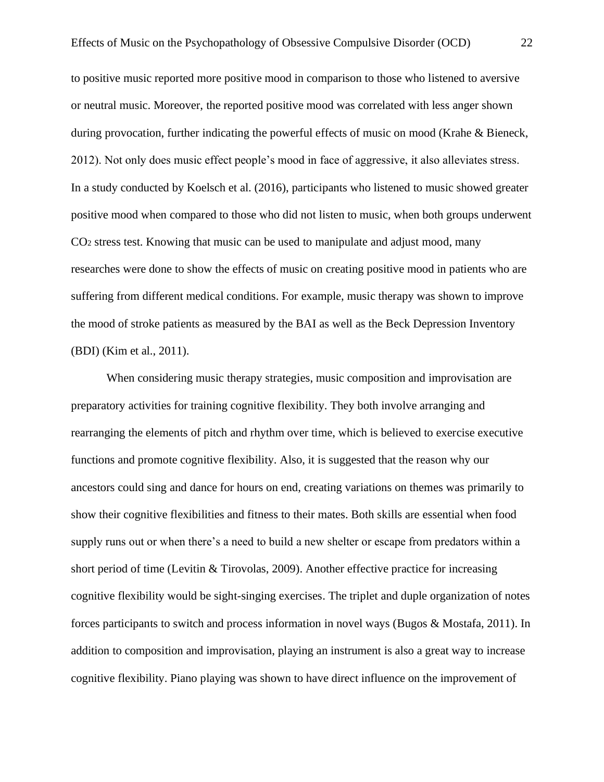to positive music reported more positive mood in comparison to those who listened to aversive or neutral music. Moreover, the reported positive mood was correlated with less anger shown during provocation, further indicating the powerful effects of music on mood (Krahe & Bieneck, 2012). Not only does music effect people's mood in face of aggressive, it also alleviates stress. In a study conducted by Koelsch et al. (2016), participants who listened to music showed greater positive mood when compared to those who did not listen to music, when both groups underwent CO<sup>2</sup> stress test. Knowing that music can be used to manipulate and adjust mood, many researches were done to show the effects of music on creating positive mood in patients who are suffering from different medical conditions. For example, music therapy was shown to improve the mood of stroke patients as measured by the BAI as well as the Beck Depression Inventory (BDI) (Kim et al., 2011).

When considering music therapy strategies, music composition and improvisation are preparatory activities for training cognitive flexibility. They both involve arranging and rearranging the elements of pitch and rhythm over time, which is believed to exercise executive functions and promote cognitive flexibility. Also, it is suggested that the reason why our ancestors could sing and dance for hours on end, creating variations on themes was primarily to show their cognitive flexibilities and fitness to their mates. Both skills are essential when food supply runs out or when there's a need to build a new shelter or escape from predators within a short period of time (Levitin & Tirovolas, 2009). Another effective practice for increasing cognitive flexibility would be sight-singing exercises. The triplet and duple organization of notes forces participants to switch and process information in novel ways (Bugos & Mostafa, 2011). In addition to composition and improvisation, playing an instrument is also a great way to increase cognitive flexibility. Piano playing was shown to have direct influence on the improvement of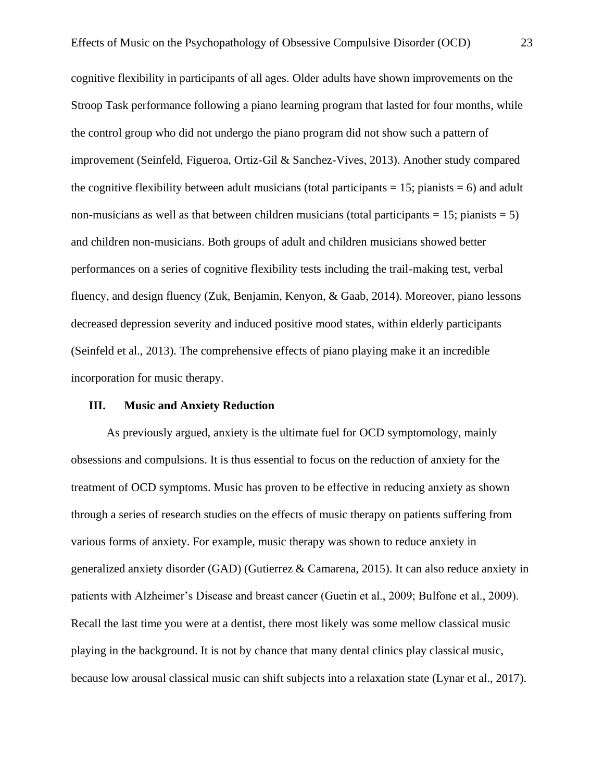cognitive flexibility in participants of all ages. Older adults have shown improvements on the Stroop Task performance following a piano learning program that lasted for four months, while the control group who did not undergo the piano program did not show such a pattern of improvement (Seinfeld, Figueroa, Ortiz-Gil & Sanchez-Vives, 2013). Another study compared the cognitive flexibility between adult musicians (total participants  $= 15$ ; pianists  $= 6$ ) and adult non-musicians as well as that between children musicians (total participants  $= 15$ ; pianists  $= 5$ ) and children non-musicians. Both groups of adult and children musicians showed better performances on a series of cognitive flexibility tests including the trail-making test, verbal fluency, and design fluency (Zuk, Benjamin, Kenyon, & Gaab, 2014). Moreover, piano lessons decreased depression severity and induced positive mood states, within elderly participants (Seinfeld et al., 2013). The comprehensive effects of piano playing make it an incredible incorporation for music therapy.

#### **III. Music and Anxiety Reduction**

As previously argued, anxiety is the ultimate fuel for OCD symptomology, mainly obsessions and compulsions. It is thus essential to focus on the reduction of anxiety for the treatment of OCD symptoms. Music has proven to be effective in reducing anxiety as shown through a series of research studies on the effects of music therapy on patients suffering from various forms of anxiety. For example, music therapy was shown to reduce anxiety in generalized anxiety disorder (GAD) (Gutierrez & Camarena, 2015). It can also reduce anxiety in patients with Alzheimer's Disease and breast cancer (Guetin et al., 2009; Bulfone et al., 2009). Recall the last time you were at a dentist, there most likely was some mellow classical music playing in the background. It is not by chance that many dental clinics play classical music, because low arousal classical music can shift subjects into a relaxation state (Lynar et al., 2017).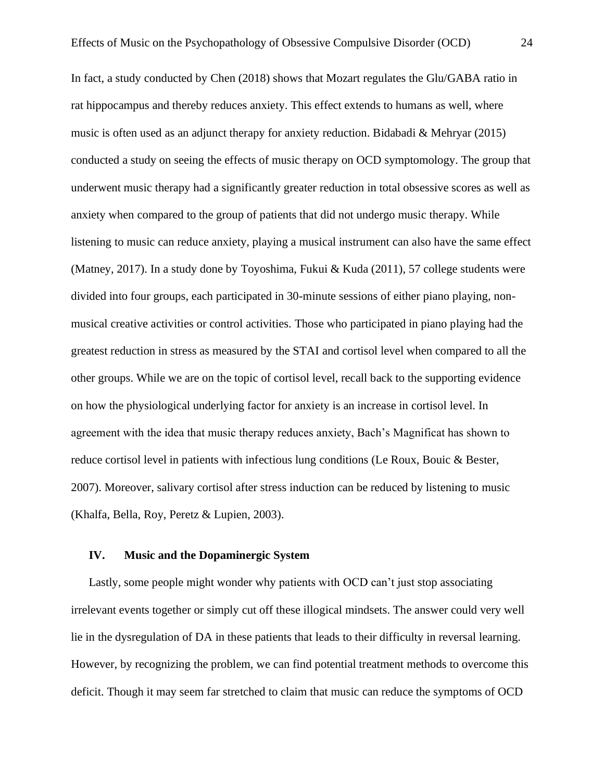In fact, a study conducted by Chen (2018) shows that Mozart regulates the Glu/GABA ratio in rat hippocampus and thereby reduces anxiety. This effect extends to humans as well, where music is often used as an adjunct therapy for anxiety reduction. Bidabadi & Mehryar (2015) conducted a study on seeing the effects of music therapy on OCD symptomology. The group that underwent music therapy had a significantly greater reduction in total obsessive scores as well as anxiety when compared to the group of patients that did not undergo music therapy. While listening to music can reduce anxiety, playing a musical instrument can also have the same effect (Matney, 2017). In a study done by Toyoshima, Fukui & Kuda (2011), 57 college students were divided into four groups, each participated in 30-minute sessions of either piano playing, nonmusical creative activities or control activities. Those who participated in piano playing had the greatest reduction in stress as measured by the STAI and cortisol level when compared to all the other groups. While we are on the topic of cortisol level, recall back to the supporting evidence on how the physiological underlying factor for anxiety is an increase in cortisol level. In agreement with the idea that music therapy reduces anxiety, Bach's Magnificat has shown to reduce cortisol level in patients with infectious lung conditions (Le Roux, Bouic & Bester, 2007). Moreover, salivary cortisol after stress induction can be reduced by listening to music (Khalfa, Bella, Roy, Peretz & Lupien, 2003).

#### **IV. Music and the Dopaminergic System**

Lastly, some people might wonder why patients with OCD can't just stop associating irrelevant events together or simply cut off these illogical mindsets. The answer could very well lie in the dysregulation of DA in these patients that leads to their difficulty in reversal learning. However, by recognizing the problem, we can find potential treatment methods to overcome this deficit. Though it may seem far stretched to claim that music can reduce the symptoms of OCD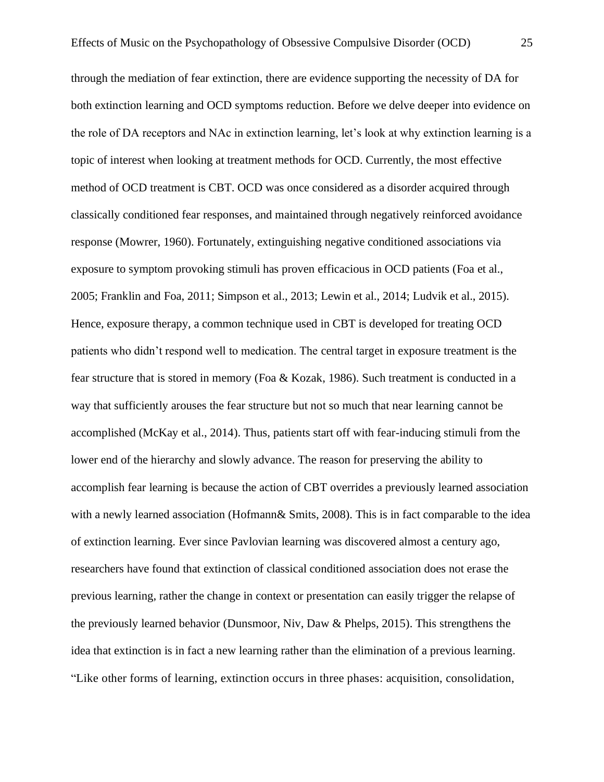through the mediation of fear extinction, there are evidence supporting the necessity of DA for both extinction learning and OCD symptoms reduction. Before we delve deeper into evidence on the role of DA receptors and NAc in extinction learning, let's look at why extinction learning is a topic of interest when looking at treatment methods for OCD. Currently, the most effective method of OCD treatment is CBT. OCD was once considered as a disorder acquired through classically conditioned fear responses, and maintained through negatively reinforced avoidance response (Mowrer, 1960). Fortunately, extinguishing negative conditioned associations via exposure to symptom provoking stimuli has proven efficacious in OCD patients (Foa et al., 2005; Franklin and Foa, 2011; Simpson et al., 2013; Lewin et al., 2014; Ludvik et al., 2015). Hence, exposure therapy, a common technique used in CBT is developed for treating OCD patients who didn't respond well to medication. The central target in exposure treatment is the fear structure that is stored in memory (Foa & Kozak, 1986). Such treatment is conducted in a way that sufficiently arouses the fear structure but not so much that near learning cannot be accomplished (McKay et al., 2014). Thus, patients start off with fear-inducing stimuli from the lower end of the hierarchy and slowly advance. The reason for preserving the ability to accomplish fear learning is because the action of CBT overrides a previously learned association with a newly learned association (Hofmann & Smits, 2008). This is in fact comparable to the idea of extinction learning. Ever since Pavlovian learning was discovered almost a century ago, researchers have found that extinction of classical conditioned association does not erase the previous learning, rather the change in context or presentation can easily trigger the relapse of the previously learned behavior (Dunsmoor, Niv, Daw & Phelps, 2015). This strengthens the idea that extinction is in fact a new learning rather than the elimination of a previous learning. "Like other forms of learning, extinction occurs in three phases: acquisition, consolidation,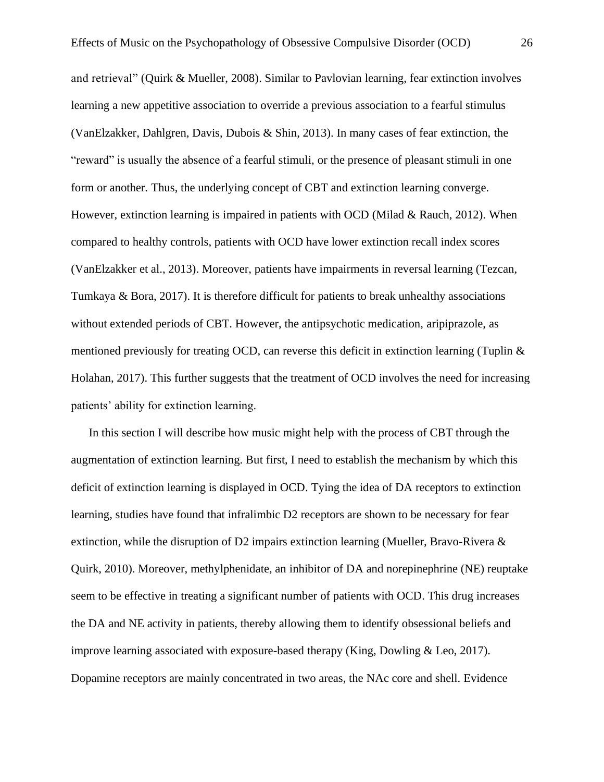and retrieval" (Quirk & Mueller, 2008). Similar to Pavlovian learning, fear extinction involves learning a new appetitive association to override a previous association to a fearful stimulus (VanElzakker, Dahlgren, Davis, Dubois & Shin, 2013). In many cases of fear extinction, the "reward" is usually the absence of a fearful stimuli, or the presence of pleasant stimuli in one form or another. Thus, the underlying concept of CBT and extinction learning converge. However, extinction learning is impaired in patients with OCD (Milad & Rauch, 2012). When compared to healthy controls, patients with OCD have lower extinction recall index scores (VanElzakker et al., 2013). Moreover, patients have impairments in reversal learning (Tezcan, Tumkaya & Bora, 2017). It is therefore difficult for patients to break unhealthy associations without extended periods of CBT. However, the antipsychotic medication, aripiprazole, as mentioned previously for treating OCD, can reverse this deficit in extinction learning (Tuplin  $\&$ Holahan, 2017). This further suggests that the treatment of OCD involves the need for increasing patients' ability for extinction learning.

In this section I will describe how music might help with the process of CBT through the augmentation of extinction learning. But first, I need to establish the mechanism by which this deficit of extinction learning is displayed in OCD. Tying the idea of DA receptors to extinction learning, studies have found that infralimbic D2 receptors are shown to be necessary for fear extinction, while the disruption of D2 impairs extinction learning (Mueller, Bravo-Rivera & Quirk, 2010). Moreover, methylphenidate, an inhibitor of DA and norepinephrine (NE) reuptake seem to be effective in treating a significant number of patients with OCD. This drug increases the DA and NE activity in patients, thereby allowing them to identify obsessional beliefs and improve learning associated with exposure-based therapy (King, Dowling & Leo, 2017). Dopamine receptors are mainly concentrated in two areas, the NAc core and shell. Evidence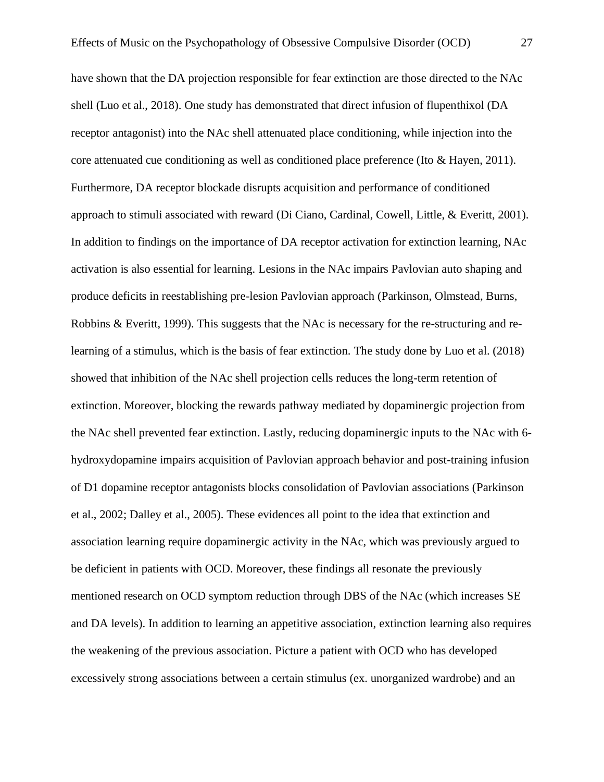have shown that the DA projection responsible for fear extinction are those directed to the NAc shell (Luo et al., 2018). One study has demonstrated that direct infusion of flupenthixol (DA receptor antagonist) into the NAc shell attenuated place conditioning, while injection into the core attenuated cue conditioning as well as conditioned place preference (Ito & Hayen, 2011). Furthermore, DA receptor blockade disrupts acquisition and performance of conditioned approach to stimuli associated with reward (Di Ciano, Cardinal, Cowell, Little, & Everitt, 2001). In addition to findings on the importance of DA receptor activation for extinction learning, NAc activation is also essential for learning. Lesions in the NAc impairs Pavlovian auto shaping and produce deficits in reestablishing pre-lesion Pavlovian approach (Parkinson, Olmstead, Burns, Robbins & Everitt, 1999). This suggests that the NAc is necessary for the re-structuring and relearning of a stimulus, which is the basis of fear extinction. The study done by Luo et al. (2018) showed that inhibition of the NAc shell projection cells reduces the long-term retention of extinction. Moreover, blocking the rewards pathway mediated by dopaminergic projection from the NAc shell prevented fear extinction. Lastly, reducing dopaminergic inputs to the NAc with 6 hydroxydopamine impairs acquisition of Pavlovian approach behavior and post-training infusion of D1 dopamine receptor antagonists blocks consolidation of Pavlovian associations (Parkinson et al., 2002; Dalley et al., 2005). These evidences all point to the idea that extinction and association learning require dopaminergic activity in the NAc, which was previously argued to be deficient in patients with OCD. Moreover, these findings all resonate the previously mentioned research on OCD symptom reduction through DBS of the NAc (which increases SE

and DA levels). In addition to learning an appetitive association, extinction learning also requires the weakening of the previous association. Picture a patient with OCD who has developed excessively strong associations between a certain stimulus (ex. unorganized wardrobe) and an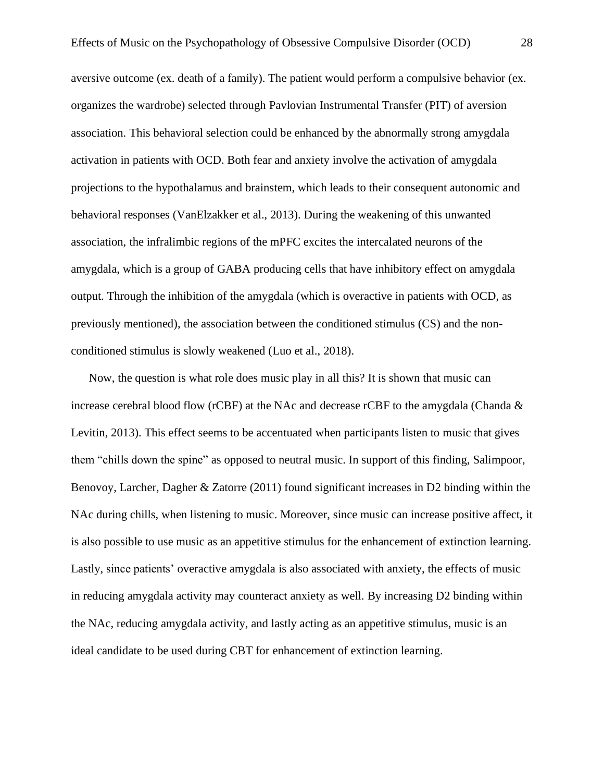aversive outcome (ex. death of a family). The patient would perform a compulsive behavior (ex. organizes the wardrobe) selected through Pavlovian Instrumental Transfer (PIT) of aversion association. This behavioral selection could be enhanced by the abnormally strong amygdala activation in patients with OCD. Both fear and anxiety involve the activation of amygdala projections to the hypothalamus and brainstem, which leads to their consequent autonomic and behavioral responses (VanElzakker et al., 2013). During the weakening of this unwanted association, the infralimbic regions of the mPFC excites the intercalated neurons of the amygdala, which is a group of GABA producing cells that have inhibitory effect on amygdala output. Through the inhibition of the amygdala (which is overactive in patients with OCD, as previously mentioned), the association between the conditioned stimulus (CS) and the nonconditioned stimulus is slowly weakened (Luo et al., 2018).

Now, the question is what role does music play in all this? It is shown that music can increase cerebral blood flow ( $rCBF$ ) at the NAc and decrease  $rCBF$  to the amygdala (Chanda  $\&$ Levitin, 2013). This effect seems to be accentuated when participants listen to music that gives them "chills down the spine" as opposed to neutral music. In support of this finding, Salimpoor, Benovoy, Larcher, Dagher & Zatorre (2011) found significant increases in D2 binding within the NAc during chills, when listening to music. Moreover, since music can increase positive affect, it is also possible to use music as an appetitive stimulus for the enhancement of extinction learning. Lastly, since patients' overactive amygdala is also associated with anxiety, the effects of music in reducing amygdala activity may counteract anxiety as well. By increasing D2 binding within the NAc, reducing amygdala activity, and lastly acting as an appetitive stimulus, music is an ideal candidate to be used during CBT for enhancement of extinction learning.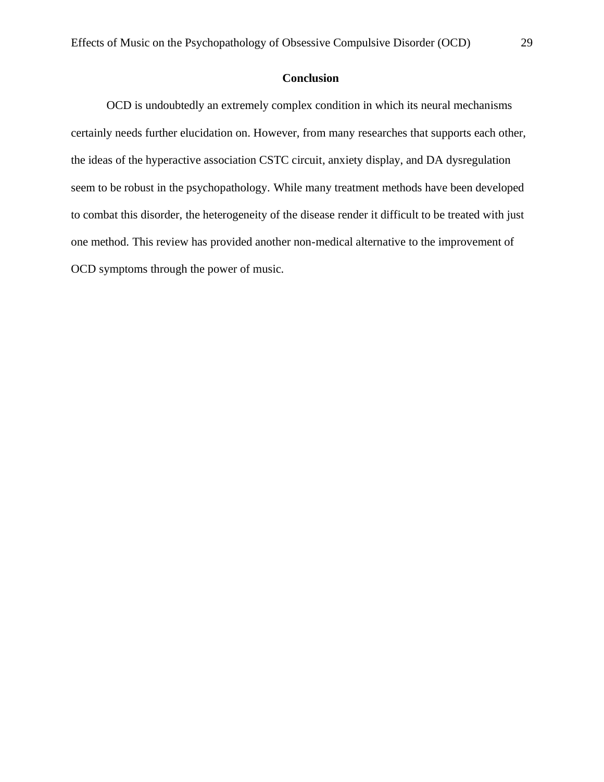# **Conclusion**

OCD is undoubtedly an extremely complex condition in which its neural mechanisms certainly needs further elucidation on. However, from many researches that supports each other, the ideas of the hyperactive association CSTC circuit, anxiety display, and DA dysregulation seem to be robust in the psychopathology. While many treatment methods have been developed to combat this disorder, the heterogeneity of the disease render it difficult to be treated with just one method. This review has provided another non-medical alternative to the improvement of OCD symptoms through the power of music.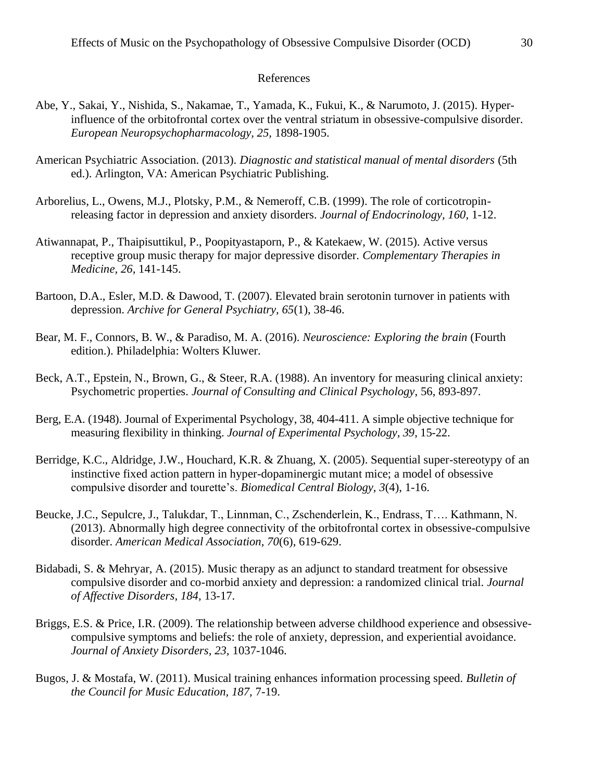#### References

- Abe, Y., Sakai, Y., Nishida, S., Nakamae, T., Yamada, K., Fukui, K., & Narumoto, J. (2015). Hyperinfluence of the orbitofrontal cortex over the ventral striatum in obsessive-compulsive disorder. *European Neuropsychopharmacology, 25,* 1898-1905.
- American Psychiatric Association. (2013). *Diagnostic and statistical manual of mental disorders* (5th ed.). Arlington, VA: American Psychiatric Publishing.
- Arborelius, L., Owens, M.J., Plotsky, P.M., & Nemeroff, C.B. (1999). The role of corticotropinreleasing factor in depression and anxiety disorders. *Journal of Endocrinology, 160,* 1-12.
- Atiwannapat, P., Thaipisuttikul, P., Poopityastaporn, P., & Katekaew, W. (2015). Active versus receptive group music therapy for major depressive disorder. *Complementary Therapies in Medicine, 26,* 141-145.
- Bartoon, D.A., Esler, M.D. & Dawood, T. (2007). Elevated brain serotonin turnover in patients with depression. *Archive for General Psychiatry, 65*(1), 38-46.
- Bear, M. F., Connors, B. W., & Paradiso, M. A. (2016). *Neuroscience: Exploring the brain* (Fourth edition.). Philadelphia: Wolters Kluwer.
- Beck, A.T., Epstein, N., Brown, G., & Steer, R.A. (1988). An inventory for measuring clinical anxiety: Psychometric properties. *Journal of Consulting and Clinical Psychology*, 56, 893-897.
- Berg, E.A. (1948). Journal of Experimental Psychology, 38, 404-411. A simple objective technique for measuring flexibility in thinking. *Journal of Experimental Psychology, 39*, 15-22.
- Berridge, K.C., Aldridge, J.W., Houchard, K.R. & Zhuang, X. (2005). Sequential super-stereotypy of an instinctive fixed action pattern in hyper-dopaminergic mutant mice; a model of obsessive compulsive disorder and tourette's. *Biomedical Central Biology, 3*(4), 1-16.
- Beucke, J.C., Sepulcre, J., Talukdar, T., Linnman, C., Zschenderlein, K., Endrass, T…. Kathmann, N. (2013). Abnormally high degree connectivity of the orbitofrontal cortex in obsessive-compulsive disorder. *American Medical Association, 70*(6), 619-629.
- Bidabadi, S. & Mehryar, A. (2015). Music therapy as an adjunct to standard treatment for obsessive compulsive disorder and co-morbid anxiety and depression: a randomized clinical trial. *Journal of Affective Disorders, 184,* 13-17.
- Briggs, E.S. & Price, I.R. (2009). The relationship between adverse childhood experience and obsessivecompulsive symptoms and beliefs: the role of anxiety, depression, and experiential avoidance. *Journal of Anxiety Disorders, 23,* 1037-1046.
- Bugos, J. & Mostafa, W. (2011). Musical training enhances information processing speed. *Bulletin of the Council for Music Education, 187,* 7-19.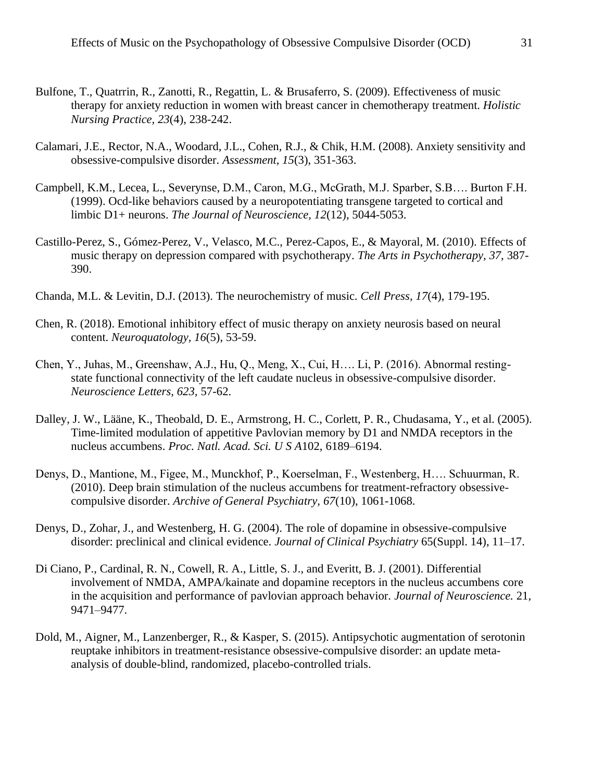- Bulfone, T., Quatrrin, R., Zanotti, R., Regattin, L. & Brusaferro, S. (2009). Effectiveness of music therapy for anxiety reduction in women with breast cancer in chemotherapy treatment. *Holistic Nursing Practice, 23*(4), 238-242.
- Calamari, J.E., Rector, N.A., Woodard, J.L., Cohen, R.J., & Chik, H.M. (2008). Anxiety sensitivity and obsessive-compulsive disorder. *Assessment, 15*(3), 351-363.
- Campbell, K.M., Lecea, L., Severynse, D.M., Caron, M.G., McGrath, M.J. Sparber, S.B…. Burton F.H. (1999). Ocd-like behaviors caused by a neuropotentiating transgene targeted to cortical and limbic D1+ neurons. *The Journal of Neuroscience, 12*(12), 5044-5053.
- Castillo-Perez, S., Gómez-Perez, V., Velasco, M.C., Perez-Capos, E., & Mayoral, M. (2010). Effects of music therapy on depression compared with psychotherapy. *The Arts in Psychotherapy, 37,* 387- 390.
- Chanda, M.L. & Levitin, D.J. (2013). The neurochemistry of music. *Cell Press, 17*(4), 179-195.
- Chen, R. (2018). Emotional inhibitory effect of music therapy on anxiety neurosis based on neural content. *Neuroquatology, 16*(5), 53-59.
- Chen, Y., Juhas, M., Greenshaw, A.J., Hu, Q., Meng, X., Cui, H…. Li, P. (2016). Abnormal restingstate functional connectivity of the left caudate nucleus in obsessive-compulsive disorder. *Neuroscience Letters, 623,* 57-62.
- Dalley, J. W., Lääne, K., Theobald, D. E., Armstrong, H. C., Corlett, P. R., Chudasama, Y., et al. (2005). Time-limited modulation of appetitive Pavlovian memory by D1 and NMDA receptors in the nucleus accumbens. *Proc. Natl. Acad. Sci. U S A*102, 6189–6194.
- Denys, D., Mantione, M., Figee, M., Munckhof, P., Koerselman, F., Westenberg, H…. Schuurman, R. (2010). Deep brain stimulation of the nucleus accumbens for treatment-refractory obsessivecompulsive disorder. *Archive of General Psychiatry, 67*(10), 1061-1068.
- Denys, D., Zohar, J., and Westenberg, H. G. (2004). The role of dopamine in obsessive-compulsive disorder: preclinical and clinical evidence. *Journal of Clinical Psychiatry* 65(Suppl. 14), 11–17.
- Di Ciano, P., Cardinal, R. N., Cowell, R. A., Little, S. J., and Everitt, B. J. (2001). Differential involvement of NMDA, AMPA/kainate and dopamine receptors in the nucleus accumbens core in the acquisition and performance of pavlovian approach behavior. *Journal of Neuroscience.* 21, 9471–9477.
- Dold, M., Aigner, M., Lanzenberger, R., & Kasper, S. (2015). Antipsychotic augmentation of serotonin reuptake inhibitors in treatment-resistance obsessive-compulsive disorder: an update metaanalysis of double-blind, randomized, placebo-controlled trials.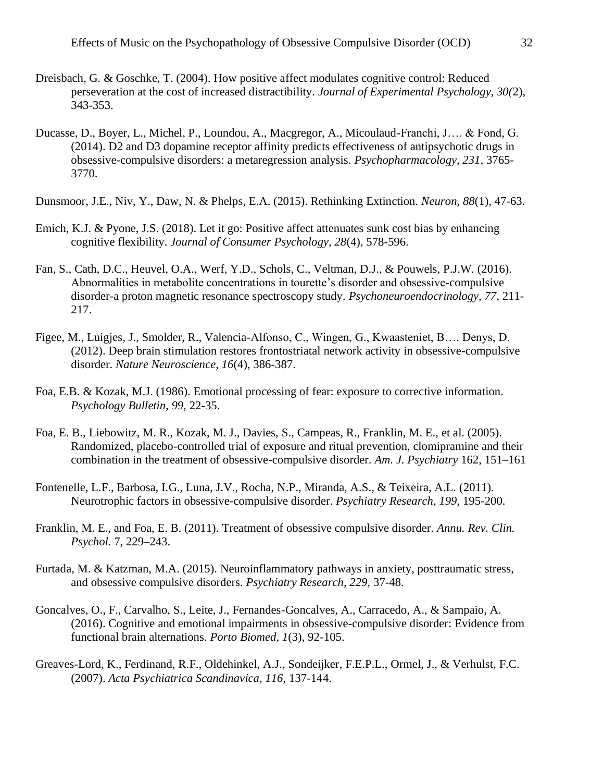- Dreisbach, G. & Goschke, T. (2004). How positive affect modulates cognitive control: Reduced perseveration at the cost of increased distractibility. *Journal of Experimental Psychology, 30(*2), 343-353.
- Ducasse, D., Boyer, L., Michel, P., Loundou, A., Macgregor, A., Micoulaud-Franchi, J…. & Fond, G. (2014). D2 and D3 dopamine receptor affinity predicts effectiveness of antipsychotic drugs in obsessive-compulsive disorders: a metaregression analysis. *Psychopharmacology, 231,* 3765- 3770.
- Dunsmoor, J.E., Niv, Y., Daw, N. & Phelps, E.A. (2015). Rethinking Extinction. *Neuron, 88*(1), 47-63.
- Emich, K.J. & Pyone, J.S. (2018). Let it go: Positive affect attenuates sunk cost bias by enhancing cognitive flexibility. *Journal of Consumer Psychology, 28*(4), 578-596.
- Fan, S., Cath, D.C., Heuvel, O.A., Werf, Y.D., Schols, C., Veltman, D.J., & Pouwels, P.J.W. (2016). Abnormalities in metabolite concentrations in tourette's disorder and obsessive-compulsive disorder-a proton magnetic resonance spectroscopy study. *Psychoneuroendocrinology, 77,* 211- 217.
- Figee, M., Luigjes, J., Smolder, R., Valencia-Alfonso, C., Wingen, G., Kwaasteniet, B…. Denys, D. (2012). Deep brain stimulation restores frontostriatal network activity in obsessive-compulsive disorder. *Nature Neuroscience, 16*(4), 386-387.
- Foa, E.B. & Kozak, M.J. (1986). Emotional processing of fear: exposure to corrective information. *Psychology Bulletin, 99,* 22-35.
- Foa, E. B., Liebowitz, M. R., Kozak, M. J., Davies, S., Campeas, R., Franklin, M. E., et al. (2005). Randomized, placebo-controlled trial of exposure and ritual prevention, clomipramine and their combination in the treatment of obsessive-compulsive disorder. *Am. J. Psychiatry* 162, 151–161
- Fontenelle, L.F., Barbosa, I.G., Luna, J.V., Rocha, N.P., Miranda, A.S., & Teixeira, A.L. (2011). Neurotrophic factors in obsessive-compulsive disorder. *Psychiatry Research, 199,* 195-200.
- Franklin, M. E., and Foa, E. B. (2011). Treatment of obsessive compulsive disorder. *Annu. Rev. Clin. Psychol.* 7, 229–243.
- Furtada, M. & Katzman, M.A. (2015). Neuroinflammatory pathways in anxiety, posttraumatic stress, and obsessive compulsive disorders. *Psychiatry Research, 229,* 37-48.
- Goncalves, O., F., Carvalho, S., Leite, J., Fernandes-Goncalves, A., Carracedo, A., & Sampaio, A. (2016). Cognitive and emotional impairments in obsessive-compulsive disorder: Evidence from functional brain alternations. *Porto Biomed*, *1*(3), 92-105.
- Greaves-Lord, K., Ferdinand, R.F., Oldehinkel, A.J., Sondeijker, F.E.P.L., Ormel, J., & Verhulst, F.C. (2007). *Acta Psychiatrica Scandinavica, 116,* 137-144.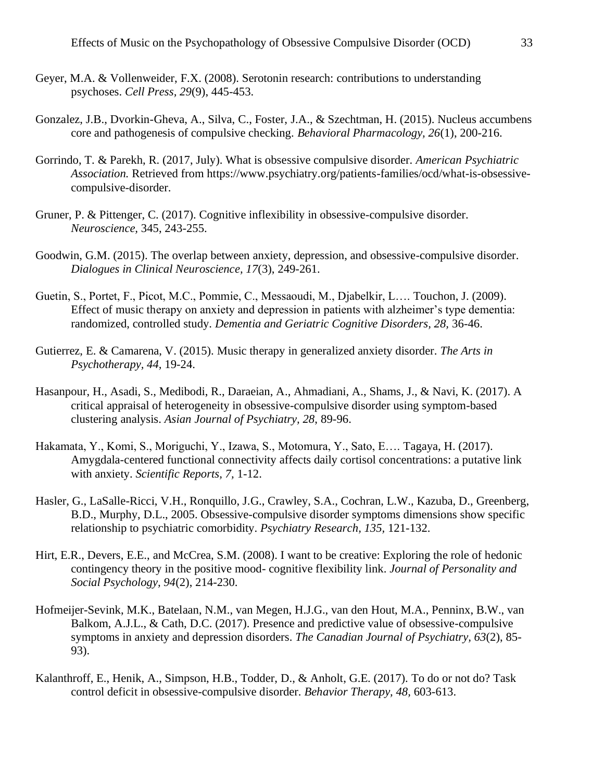- Geyer, M.A. & Vollenweider, F.X. (2008). Serotonin research: contributions to understanding psychoses. *Cell Press, 29*(9), 445-453.
- Gonzalez, J.B., Dvorkin-Gheva, A., Silva, C., Foster, J.A., & Szechtman, H. (2015). Nucleus accumbens core and pathogenesis of compulsive checking. *Behavioral Pharmacology, 26*(1), 200-216.
- Gorrindo, T. & Parekh, R. (2017, July). What is obsessive compulsive disorder. *American Psychiatric Association.* Retrieved from https://www.psychiatry.org/patients-families/ocd/what-is-obsessivecompulsive-disorder.
- Gruner, P. & Pittenger, C. (2017). Cognitive inflexibility in obsessive-compulsive disorder. *Neuroscience,* 345, 243-255.
- Goodwin, G.M. (2015). The overlap between anxiety, depression, and obsessive-compulsive disorder. *Dialogues in Clinical Neuroscience, 17*(3), 249-261.
- Guetin, S., Portet, F., Picot, M.C., Pommie, C., Messaoudi, M., Djabelkir, L…. Touchon, J. (2009). Effect of music therapy on anxiety and depression in patients with alzheimer's type dementia: randomized, controlled study. *Dementia and Geriatric Cognitive Disorders, 28,* 36-46.
- Gutierrez, E. & Camarena, V. (2015). Music therapy in generalized anxiety disorder. *The Arts in Psychotherapy, 44,* 19-24.
- Hasanpour, H., Asadi, S., Medibodi, R., Daraeian, A., Ahmadiani, A., Shams, J., & Navi, K. (2017). A critical appraisal of heterogeneity in obsessive-compulsive disorder using symptom-based clustering analysis. *Asian Journal of Psychiatry, 28*, 89-96.
- Hakamata, Y., Komi, S., Moriguchi, Y., Izawa, S., Motomura, Y., Sato, E…. Tagaya, H. (2017). Amygdala-centered functional connectivity affects daily cortisol concentrations: a putative link with anxiety. *Scientific Reports, 7,* 1-12.
- Hasler, G., LaSalle-Ricci, V.H., Ronquillo, J.G., Crawley, S.A., Cochran, L.W., Kazuba, D., Greenberg, B.D., Murphy, D.L., 2005. Obsessive-compulsive disorder symptoms dimensions show specific relationship to psychiatric comorbidity. *Psychiatry Research, 135,* 121-132.
- Hirt, E.R., Devers, E.E., and McCrea, S.M. (2008). I want to be creative: Exploring the role of hedonic contingency theory in the positive mood- cognitive flexibility link. *Journal of Personality and Social Psychology, 94*(2), 214-230.
- Hofmeijer-Sevink, M.K., Batelaan, N.M., van Megen, H.J.G., van den Hout, M.A., Penninx, B.W., van Balkom, A.J.L., & Cath, D.C. (2017). Presence and predictive value of obsessive-compulsive symptoms in anxiety and depression disorders. *The Canadian Journal of Psychiatry, 63*(2), 85- 93).
- Kalanthroff, E., Henik, A., Simpson, H.B., Todder, D., & Anholt, G.E. (2017). To do or not do? Task control deficit in obsessive-compulsive disorder. *Behavior Therapy, 48,* 603-613.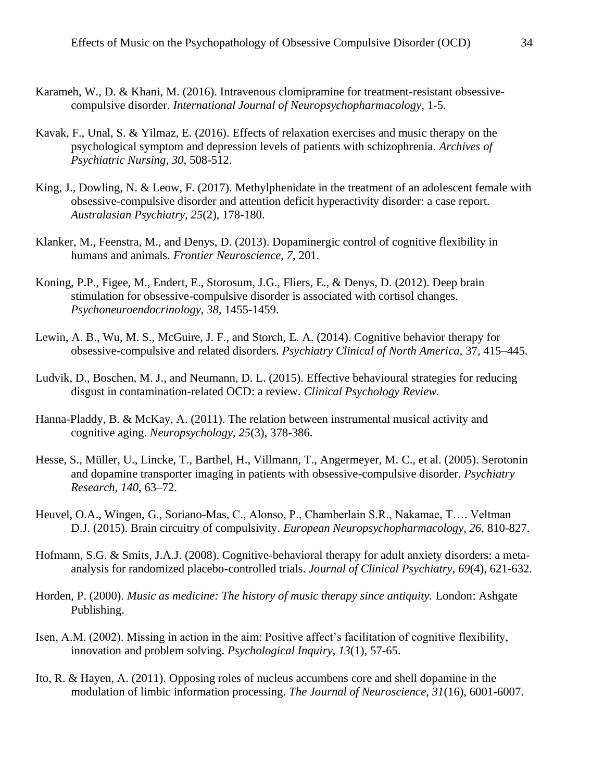- Karameh, W., D. & Khani, M. (2016). Intravenous clomipramine for treatment-resistant obsessivecompulsive disorder. *International Journal of Neuropsychopharmacology,* 1-5.
- Kavak, F., Unal, S. & Yilmaz, E. (2016). Effects of relaxation exercises and music therapy on the psychological symptom and depression levels of patients with schizophrenia. *Archives of Psychiatric Nursing, 30,* 508-512.
- King, J., Dowling, N. & Leow, F. (2017). Methylphenidate in the treatment of an adolescent female with obsessive-compulsive disorder and attention deficit hyperactivity disorder: a case report. *Australasian Psychiatry, 25*(2), 178-180.
- Klanker, M., Feenstra, M., and Denys, D. (2013). Dopaminergic control of cognitive flexibility in humans and animals. *Frontier Neuroscience, 7,* 201.
- Koning, P.P., Figee, M., Endert, E., Storosum, J.G., Fliers, E., & Denys, D. (2012). Deep brain stimulation for obsessive-compulsive disorder is associated with cortisol changes. *Psychoneuroendocrinology, 38,* 1455-1459.
- Lewin, A. B., Wu, M. S., McGuire, J. F., and Storch, E. A. (2014). Cognitive behavior therapy for obsessive-compulsive and related disorders. *Psychiatry Clinical of North America,* 37, 415–445.
- Ludvik, D., Boschen, M. J., and Neumann, D. L. (2015). Effective behavioural strategies for reducing disgust in contamination-related OCD: a review. *Clinical Psychology Review.*
- Hanna-Pladdy, B. & McKay, A. (2011). The relation between instrumental musical activity and cognitive aging. *Neuropsychology, 25*(3), 378-386.
- Hesse, S., Müller, U., Lincke, T., Barthel, H., Villmann, T., Angermeyer, M. C., et al. (2005). Serotonin and dopamine transporter imaging in patients with obsessive-compulsive disorder. *Psychiatry Research, 140*, 63–72.
- Heuvel, O.A., Wingen, G., Soriano-Mas, C., Alonso, P., Chamberlain S.R., Nakamae, T…. Veltman D.J. (2015). Brain circuitry of compulsivity. *European Neuropsychopharmacology, 26,* 810-827.
- Hofmann, S.G. & Smits, J.A.J. (2008). Cognitive-behavioral therapy for adult anxiety disorders: a metaanalysis for randomized placebo-controlled trials. *Journal of Clinical Psychiatry, 69*(4), 621-632.
- Horden, P. (2000). *Music as medicine: The history of music therapy since antiquity.* London: Ashgate Publishing.
- Isen, A.M. (2002). Missing in action in the aim: Positive affect's facilitation of cognitive flexibility, innovation and problem solving. *Psychological Inquiry, 13*(1), 57-65.
- Ito, R. & Hayen, A. (2011). Opposing roles of nucleus accumbens core and shell dopamine in the modulation of limbic information processing. *The Journal of Neuroscience, 31*(16), 6001-6007.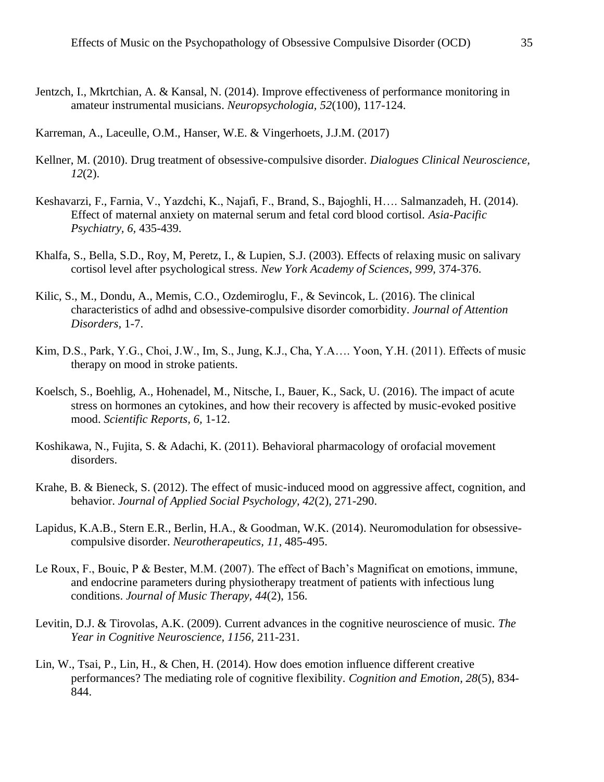Jentzch, I., Mkrtchian, A. & Kansal, N. (2014). Improve effectiveness of performance monitoring in amateur instrumental musicians. *Neuropsychologia, 52*(100), 117-124.

Karreman, A., Laceulle, O.M., Hanser, W.E. & Vingerhoets, J.J.M. (2017)

- Kellner, M. (2010). Drug treatment of obsessive-compulsive disorder. *Dialogues Clinical Neuroscience, 12*(2).
- Keshavarzi, F., Farnia, V., Yazdchi, K., Najafi, F., Brand, S., Bajoghli, H…. Salmanzadeh, H. (2014). Effect of maternal anxiety on maternal serum and fetal cord blood cortisol. *Asia-Pacific Psychiatry, 6,* 435-439.
- Khalfa, S., Bella, S.D., Roy, M, Peretz, I., & Lupien, S.J. (2003). Effects of relaxing music on salivary cortisol level after psychological stress. *New York Academy of Sciences, 999,* 374-376.
- Kilic, S., M., Dondu, A., Memis, C.O., Ozdemiroglu, F., & Sevincok, L. (2016). The clinical characteristics of adhd and obsessive-compulsive disorder comorbidity. *Journal of Attention Disorders,* 1-7.
- Kim, D.S., Park, Y.G., Choi, J.W., Im, S., Jung, K.J., Cha, Y.A…. Yoon, Y.H. (2011). Effects of music therapy on mood in stroke patients.
- Koelsch, S., Boehlig, A., Hohenadel, M., Nitsche, I., Bauer, K., Sack, U. (2016). The impact of acute stress on hormones an cytokines, and how their recovery is affected by music-evoked positive mood. *Scientific Reports, 6,* 1-12.
- Koshikawa, N., Fujita, S. & Adachi, K. (2011). Behavioral pharmacology of orofacial movement disorders.
- Krahe, B. & Bieneck, S. (2012). The effect of music-induced mood on aggressive affect, cognition, and behavior. *Journal of Applied Social Psychology, 42*(2), 271-290.
- Lapidus, K.A.B., Stern E.R., Berlin, H.A., & Goodman, W.K. (2014). Neuromodulation for obsessivecompulsive disorder. *Neurotherapeutics, 11*, 485-495.
- Le Roux, F., Bouic, P & Bester, M.M. (2007). The effect of Bach's Magnificat on emotions, immune, and endocrine parameters during physiotherapy treatment of patients with infectious lung conditions. *Journal of Music Therapy, 44*(2), 156.
- Levitin, D.J. & Tirovolas, A.K. (2009). Current advances in the cognitive neuroscience of music. *The Year in Cognitive Neuroscience, 1156,* 211-231.
- Lin, W., Tsai, P., Lin, H., & Chen, H. (2014). How does emotion influence different creative performances? The mediating role of cognitive flexibility. *Cognition and Emotion, 28*(5), 834- 844.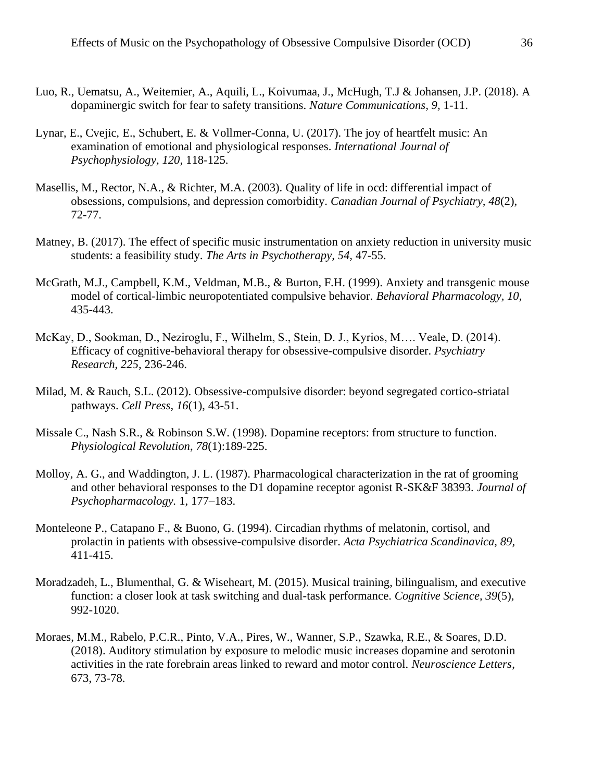- Luo, R., Uematsu, A., Weitemier, A., Aquili, L., Koivumaa, J., McHugh, T.J & Johansen, J.P. (2018). A dopaminergic switch for fear to safety transitions. *Nature Communications, 9,* 1-11.
- Lynar, E., Cvejic, E., Schubert, E. & Vollmer-Conna, U. (2017). The joy of heartfelt music: An examination of emotional and physiological responses. *International Journal of Psychophysiology, 120,* 118-125.
- Masellis, M., Rector, N.A., & Richter, M.A. (2003). Quality of life in ocd: differential impact of obsessions, compulsions, and depression comorbidity. *Canadian Journal of Psychiatry, 48*(2), 72-77.
- Matney, B. (2017). The effect of specific music instrumentation on anxiety reduction in university music students: a feasibility study. *The Arts in Psychotherapy, 54,* 47-55.
- McGrath, M.J., Campbell, K.M., Veldman, M.B., & Burton, F.H. (1999). Anxiety and transgenic mouse model of cortical-limbic neuropotentiated compulsive behavior. *Behavioral Pharmacology, 10,*  435-443.
- McKay, D., Sookman, D., Neziroglu, F., Wilhelm, S., Stein, D. J., Kyrios, M…. Veale, D. (2014). Efficacy of cognitive-behavioral therapy for obsessive-compulsive disorder. *Psychiatry Research, 225,* 236-246.
- Milad, M. & Rauch, S.L. (2012). Obsessive-compulsive disorder: beyond segregated cortico-striatal pathways. *Cell Press, 16*(1), 43-51.
- Missale C., Nash S.R., & Robinson S.W. (1998). Dopamine receptors: from structure to function. *Physiological Revolution*, *78*(1):189-225.
- Molloy, A. G., and Waddington, J. L. (1987). Pharmacological characterization in the rat of grooming and other behavioral responses to the D1 dopamine receptor agonist R-SK&F 38393. *Journal of Psychopharmacology.* 1, 177–183.
- Monteleone P., Catapano F., & Buono, G. (1994). Circadian rhythms of melatonin, cortisol, and prolactin in patients with obsessive-compulsive disorder. *Acta Psychiatrica Scandinavica, 89,*  411-415.
- Moradzadeh, L., Blumenthal, G. & Wiseheart, M. (2015). Musical training, bilingualism, and executive function: a closer look at task switching and dual-task performance. *Cognitive Science, 39*(5), 992-1020.
- Moraes, M.M., Rabelo, P.C.R., Pinto, V.A., Pires, W., Wanner, S.P., Szawka, R.E., & Soares, D.D. (2018). Auditory stimulation by exposure to melodic music increases dopamine and serotonin activities in the rate forebrain areas linked to reward and motor control. *Neuroscience Letters*, 673, 73-78.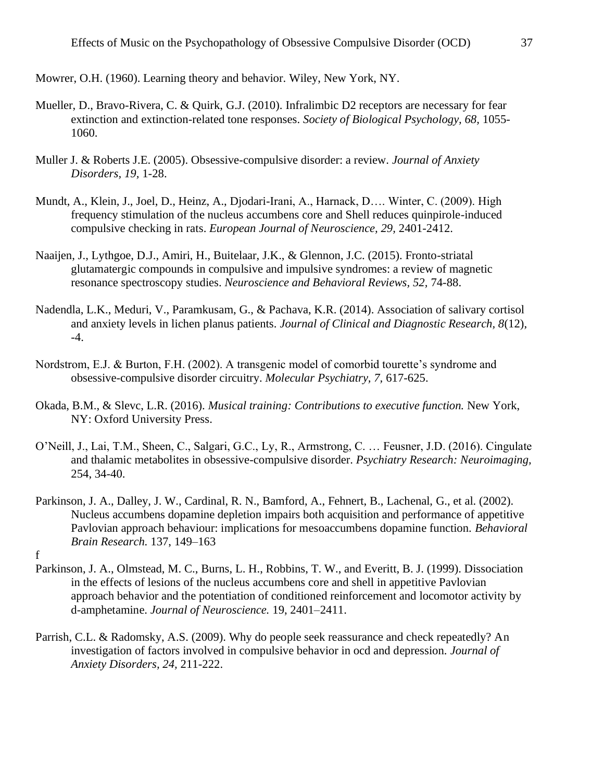Mowrer, O.H. (1960). Learning theory and behavior. Wiley, New York, NY.

- Mueller, D., Bravo-Rivera, C. & Quirk, G.J. (2010). Infralimbic D2 receptors are necessary for fear extinction and extinction-related tone responses. *Society of Biological Psychology, 68,* 1055- 1060.
- Muller J. & Roberts J.E. (2005). Obsessive-compulsive disorder: a review. *Journal of Anxiety Disorders, 19,* 1-28.
- Mundt, A., Klein, J., Joel, D., Heinz, A., Djodari-Irani, A., Harnack, D…. Winter, C. (2009). High frequency stimulation of the nucleus accumbens core and Shell reduces quinpirole-induced compulsive checking in rats. *European Journal of Neuroscience, 29,* 2401-2412.
- Naaijen, J., Lythgoe, D.J., Amiri, H., Buitelaar, J.K., & Glennon, J.C. (2015). Fronto-striatal glutamatergic compounds in compulsive and impulsive syndromes: a review of magnetic resonance spectroscopy studies. *Neuroscience and Behavioral Reviews, 52,* 74-88.
- Nadendla, L.K., Meduri, V., Paramkusam, G., & Pachava, K.R. (2014). Association of salivary cortisol and anxiety levels in lichen planus patients. *Journal of Clinical and Diagnostic Research, 8*(12), -4.
- Nordstrom, E.J. & Burton, F.H. (2002). A transgenic model of comorbid tourette's syndrome and obsessive-compulsive disorder circuitry. *Molecular Psychiatry, 7,* 617-625.
- Okada, B.M., & Slevc, L.R. (2016). *Musical training: Contributions to executive function.* New York, NY: Oxford University Press.
- O'Neill, J., Lai, T.M., Sheen, C., Salgari, G.C., Ly, R., Armstrong, C. … Feusner, J.D. (2016). Cingulate and thalamic metabolites in obsessive-compulsive disorder. *Psychiatry Research: Neuroimaging,*  254, 34-40.
- Parkinson, J. A., Dalley, J. W., Cardinal, R. N., Bamford, A., Fehnert, B., Lachenal, G., et al. (2002). Nucleus accumbens dopamine depletion impairs both acquisition and performance of appetitive Pavlovian approach behaviour: implications for mesoaccumbens dopamine function. *Behavioral Brain Research.* 137, 149–163
- f
- Parkinson, J. A., Olmstead, M. C., Burns, L. H., Robbins, T. W., and Everitt, B. J. (1999). Dissociation in the effects of lesions of the nucleus accumbens core and shell in appetitive Pavlovian approach behavior and the potentiation of conditioned reinforcement and locomotor activity by d-amphetamine. *Journal of Neuroscience.* 19, 2401–2411.
- Parrish, C.L. & Radomsky, A.S. (2009). Why do people seek reassurance and check repeatedly? An investigation of factors involved in compulsive behavior in ocd and depression. *Journal of Anxiety Disorders, 24,* 211-222.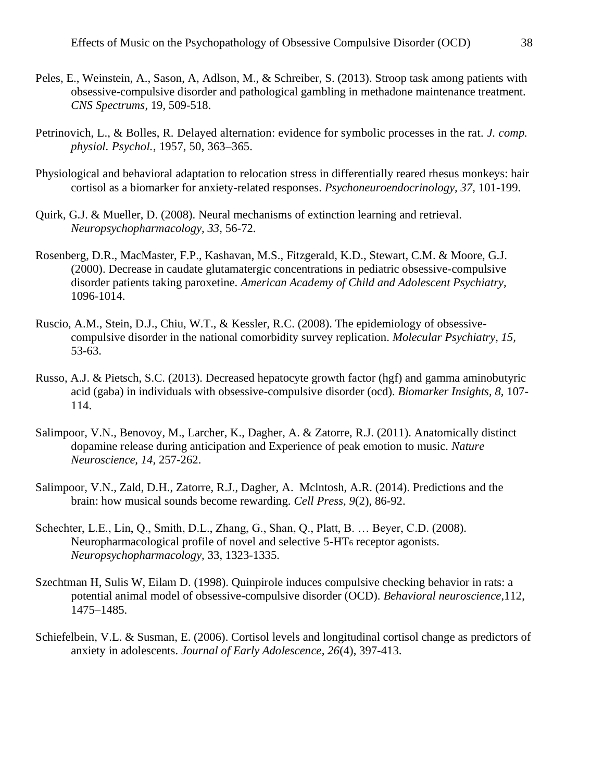- Peles, E., Weinstein, A., Sason, A, Adlson, M., & Schreiber, S. (2013). Stroop task among patients with obsessive-compulsive disorder and pathological gambling in methadone maintenance treatment. *CNS Spectrums*, 19, 509-518.
- Petrinovich, L., & Bolles, R. Delayed alternation: evidence for symbolic processes in the rat. *J. comp. physiol. Psychol.*, 1957, 50, 363–365.
- Physiological and behavioral adaptation to relocation stress in differentially reared rhesus monkeys: hair cortisol as a biomarker for anxiety-related responses. *Psychoneuroendocrinology, 37,* 101-199.
- Quirk, G.J. & Mueller, D. (2008). Neural mechanisms of extinction learning and retrieval. *Neuropsychopharmacology, 33,* 56-72.
- Rosenberg, D.R., MacMaster, F.P., Kashavan, M.S., Fitzgerald, K.D., Stewart, C.M. & Moore, G.J. (2000). Decrease in caudate glutamatergic concentrations in pediatric obsessive-compulsive disorder patients taking paroxetine. *American Academy of Child and Adolescent Psychiatry,*  1096-1014.
- Ruscio, A.M., Stein, D.J., Chiu, W.T., & Kessler, R.C. (2008). The epidemiology of obsessivecompulsive disorder in the national comorbidity survey replication. *Molecular Psychiatry, 15,*  53-63.
- Russo, A.J. & Pietsch, S.C. (2013). Decreased hepatocyte growth factor (hgf) and gamma aminobutyric acid (gaba) in individuals with obsessive-compulsive disorder (ocd). *Biomarker Insights, 8,* 107- 114.
- Salimpoor, V.N., Benovoy, M., Larcher, K., Dagher, A. & Zatorre, R.J. (2011). Anatomically distinct dopamine release during anticipation and Experience of peak emotion to music. *Nature Neuroscience, 14,* 257-262.
- Salimpoor, V.N., Zald, D.H., Zatorre, R.J., Dagher, A. Mclntosh, A.R. (2014). Predictions and the brain: how musical sounds become rewarding. *Cell Press, 9*(2), 86-92.
- Schechter, L.E., Lin, Q., Smith, D.L., Zhang, G., Shan, Q., Platt, B. … Beyer, C.D. (2008). Neuropharmacological profile of novel and selective 5-HT<sup>6</sup> receptor agonists. *Neuropsychopharmacology,* 33, 1323-1335.
- Szechtman H, Sulis W, Eilam D. (1998). Quinpirole induces compulsive checking behavior in rats: a potential animal model of obsessive-compulsive disorder (OCD). *Behavioral neuroscience*,112, 1475–1485.
- Schiefelbein, V.L. & Susman, E. (2006). Cortisol levels and longitudinal cortisol change as predictors of anxiety in adolescents. *Journal of Early Adolescence, 26*(4), 397-413.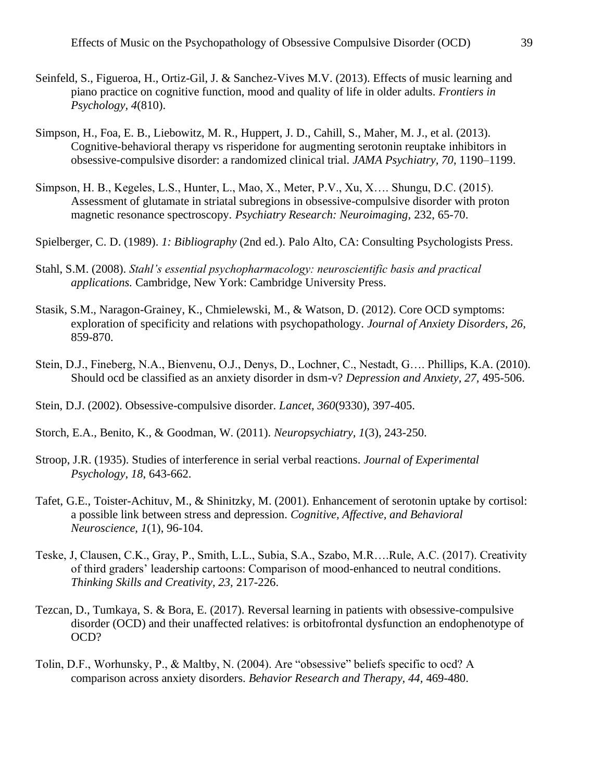- Seinfeld, S., Figueroa, H., Ortiz-Gil, J. & Sanchez-Vives M.V. (2013). Effects of music learning and piano practice on cognitive function, mood and quality of life in older adults. *Frontiers in Psychology, 4*(810).
- Simpson, H., Foa, E. B., Liebowitz, M. R., Huppert, J. D., Cahill, S., Maher, M. J., et al. (2013). Cognitive-behavioral therapy vs risperidone for augmenting serotonin reuptake inhibitors in obsessive-compulsive disorder: a randomized clinical trial. *JAMA Psychiatry, 70*, 1190–1199.
- Simpson, H. B., Kegeles, L.S., Hunter, L., Mao, X., Meter, P.V., Xu, X…. Shungu, D.C. (2015). Assessment of glutamate in striatal subregions in obsessive-compulsive disorder with proton magnetic resonance spectroscopy. *Psychiatry Research: Neuroimaging,* 232, 65-70.
- Spielberger, C. D. (1989). *1: Bibliography* (2nd ed.). Palo Alto, CA: Consulting Psychologists Press.
- Stahl, S.M. (2008). *Stahl's essential psychopharmacology: neuroscientific basis and practical applications.* Cambridge, New York: Cambridge University Press.
- Stasik, S.M., Naragon-Grainey, K., Chmielewski, M., & Watson, D. (2012). Core OCD symptoms: exploration of specificity and relations with psychopathology. *Journal of Anxiety Disorders, 26,* 859-870.
- Stein, D.J., Fineberg, N.A., Bienvenu, O.J., Denys, D., Lochner, C., Nestadt, G…. Phillips, K.A. (2010). Should ocd be classified as an anxiety disorder in dsm-v? *Depression and Anxiety, 27,* 495-506.
- Stein, D.J. (2002). Obsessive-compulsive disorder. *Lancet, 360*(9330), 397-405.
- Storch, E.A., Benito, K., & Goodman, W. (2011). *Neuropsychiatry, 1*(3), 243-250.
- Stroop, J.R. (1935). Studies of interference in serial verbal reactions. *Journal of Experimental Psychology, 18*, 643-662.
- Tafet, G.E., Toister-Achituv, M., & Shinitzky, M. (2001). Enhancement of serotonin uptake by cortisol: a possible link between stress and depression. *Cognitive, Affective, and Behavioral Neuroscience, 1*(1), 96-104.
- Teske, J, Clausen, C.K., Gray, P., Smith, L.L., Subia, S.A., Szabo, M.R….Rule, A.C. (2017). Creativity of third graders' leadership cartoons: Comparison of mood-enhanced to neutral conditions. *Thinking Skills and Creativity, 23,* 217-226.
- Tezcan, D., Tumkaya, S. & Bora, E. (2017). Reversal learning in patients with obsessive-compulsive disorder (OCD) and their unaffected relatives: is orbitofrontal dysfunction an endophenotype of OCD?
- Tolin, D.F., Worhunsky, P., & Maltby, N. (2004). Are "obsessive" beliefs specific to ocd? A comparison across anxiety disorders. *Behavior Research and Therapy, 44,* 469-480.